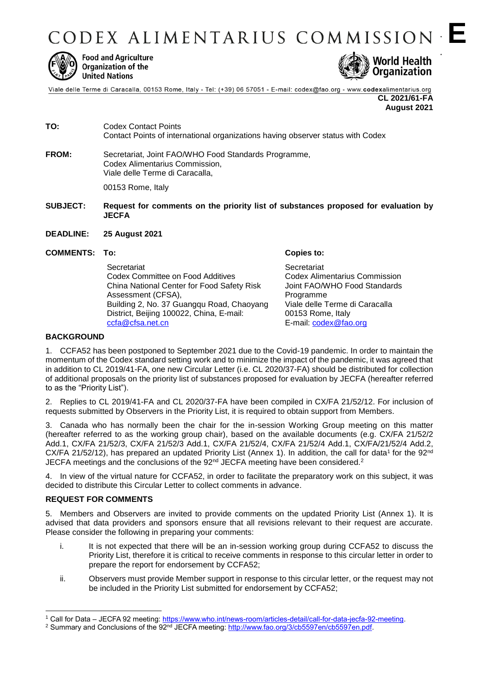

**Food and Agriculture** Organization of the **United Nations** 



Viale delle Terme di Caracalla, 00153 Rome, Italy - Tel: (+39) 06 57051 - E-mail: codex@fao.org - www.codexalimentarius.org

**CL 2021/61-FA August 2021**

**E E**

- **TO:** Codex Contact Points Contact Points of international organizations having observer status with Codex
- **FROM:** Secretariat, Joint FAO/WHO Food Standards Programme, Codex Alimentarius Commission, Viale delle Terme di Caracalla,

00153 Rome, Italy

- **SUBJECT: Request for comments on the priority list of substances proposed for evaluation by JECFA**
- **DEADLINE: 25 August 2021**
- **COMMENTS: To: Copies to:**

**Secretariat** Codex Committee on Food Additives China National Center for Food Safety Risk Assessment (CFSA), Building 2, No. 37 Guangqu Road, Chaoyang District, Beijing 100022, China, E-mail: [ccfa@cfsa.net.cn](mailto:secretariat@ccfa.cc)

**Secretariat** Codex Alimentarius Commission Joint FAO/WHO Food Standards Programme Viale delle Terme di Caracalla 00153 Rome, Italy E-mail: [codex@fao.org](mailto:codex@fao.org)

#### **BACKGROUND**

1. CCFA52 has been postponed to September 2021 due to the Covid-19 pandemic. In order to maintain the momentum of the Codex standard setting work and to minimize the impact of the pandemic, it was agreed that in addition to CL 2019/41-FA, one new Circular Letter (i.e. CL 2020/37-FA) should be distributed for collection of additional proposals on the priority list of substances proposed for evaluation by JECFA (hereafter referred to as the "Priority List").

2. Replies to CL 2019/41-FA and CL 2020/37-FA have been compiled in CX/FA 21/52/12. For inclusion of requests submitted by Observers in the Priority List, it is required to obtain support from Members.

3. Canada who has normally been the chair for the in-session Working Group meeting on this matter (hereafter referred to as the working group chair), based on the available documents (e.g. CX/FA 21/52/2 Add.1, CX/FA 21/52/3, CX/FA 21/52/3 Add.1, CX/FA 21/52/4, CX/FA 21/52/4 Add.1, CX/FA/21/52/4 Add.2, CX/FA 21/52/12), has prepared an updated Priority List (Annex 1). In addition, the call for data<sup>1</sup> for the 92<sup>nd</sup> JECFA meetings and the conclusions of the 92<sup>nd</sup> JECFA meeting have been considered.<sup>2</sup>

4. In view of the virtual nature for CCFA52, in order to facilitate the preparatory work on this subject, it was decided to distribute this Circular Letter to collect comments in advance.

### **REQUEST FOR COMMENTS**

-

5. Members and Observers are invited to provide comments on the updated Priority List (Annex 1). It is advised that data providers and sponsors ensure that all revisions relevant to their request are accurate. Please consider the following in preparing your comments:

- i. It is not expected that there will be an in-session working group during CCFA52 to discuss the Priority List, therefore it is critical to receive comments in response to this circular letter in order to prepare the report for endorsement by CCFA52;
- ii. Observers must provide Member support in response to this circular letter, or the request may not be included in the Priority List submitted for endorsement by CCFA52;

<sup>1</sup> Call for Data – JECFA 92 meeting: [https://www.who.int/news-room/articles-detail/call-for-data-jecfa-92-meeting.](https://www.who.int/news-room/articles-detail/call-for-data-jecfa-92-meeting)

<sup>&</sup>lt;sup>2</sup> Summary and Conclusions of the 92<sup>nd</sup> JECFA meeting: http://www.fao.org/3/cb5597en/cb5597en.pdf.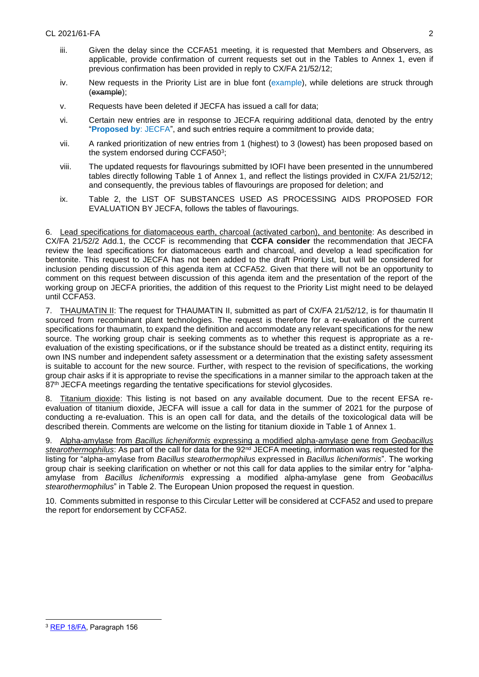- iii. Given the delay since the CCFA51 meeting, it is requested that Members and Observers, as applicable, provide confirmation of current requests set out in the Tables to Annex 1, even if previous confirmation has been provided in reply to CX/FA 21/52/12;
- iv. New requests in the Priority List are in blue font (example), while deletions are struck through (example);
- v. Requests have been deleted if JECFA has issued a call for data;
- vi. Certain new entries are in response to JECFA requiring additional data, denoted by the entry "**Proposed by**: JECFA", and such entries require a commitment to provide data;
- vii. A ranked prioritization of new entries from 1 (highest) to 3 (lowest) has been proposed based on the system endorsed during CCFA50<sup>3</sup>;
- viii. The updated requests for flavourings submitted by IOFI have been presented in the unnumbered tables directly following Table 1 of Annex 1, and reflect the listings provided in CX/FA 21/52/12; and consequently, the previous tables of flavourings are proposed for deletion; and
- ix. Table 2, the LIST OF SUBSTANCES USED AS PROCESSING AIDS PROPOSED FOR EVALUATION BY JECFA, follows the tables of flavourings.

6. Lead specifications for diatomaceous earth, charcoal (activated carbon), and bentonite: As described in CX/FA 21/52/2 Add.1, the CCCF is recommending that **CCFA consider** the recommendation that JECFA review the lead specifications for diatomaceous earth and charcoal, and develop a lead specification for bentonite. This request to JECFA has not been added to the draft Priority List, but will be considered for inclusion pending discussion of this agenda item at CCFA52. Given that there will not be an opportunity to comment on this request between discussion of this agenda item and the presentation of the report of the working group on JECFA priorities, the addition of this request to the Priority List might need to be delayed until CCFA53.

7. THAUMATIN II: The request for THAUMATIN II, submitted as part of CX/FA 21/52/12, is for thaumatin II sourced from recombinant plant technologies. The request is therefore for a re-evaluation of the current specifications for thaumatin, to expand the definition and accommodate any relevant specifications for the new source. The working group chair is seeking comments as to whether this request is appropriate as a reevaluation of the existing specifications, or if the substance should be treated as a distinct entity, requiring its own INS number and independent safety assessment or a determination that the existing safety assessment is suitable to account for the new source. Further, with respect to the revision of specifications, the working group chair asks if it is appropriate to revise the specifications in a manner similar to the approach taken at the 87<sup>th</sup> JECFA meetings regarding the tentative specifications for steviol glycosides.

8. Titanium dioxide: This listing is not based on any available document. Due to the recent EFSA reevaluation of titanium dioxide, JECFA will issue a call for data in the summer of 2021 for the purpose of conducting a re-evaluation. This is an open call for data, and the details of the toxicological data will be described therein. Comments are welcome on the listing for titanium dioxide in Table 1 of Annex 1.

9. Alpha-amylase from *Bacillus licheniformis* expressing a modified alpha-amylase gene from *Geobacillus*  stearothermophilus: As part of the call for data for the 92<sup>nd</sup> JECFA meeting, information was requested for the listing for "alpha-amylase from *Bacillus stearothermophilus* expressed in *Bacillus licheniformis*". The working group chair is seeking clarification on whether or not this call for data applies to the similar entry for "alphaamylase from *Bacillus licheniformis* expressing a modified alpha-amylase gene from *Geobacillus stearothermophilus*" in Table 2. The European Union proposed the request in question.

10. Comments submitted in response to this Circular Letter will be considered at CCFA52 and used to prepare the report for endorsement by CCFA52.

 $\overline{a}$ 

<sup>3</sup> [REP 18/FA,](http://www.fao.org/fao-who-codexalimentarius/sh-proxy/pt/?lnk=1&url=https%253A%252F%252Fworkspace.fao.org%252Fsites%252Fcodex%252FMeetings%252FCX-711-50%252FReport%252FREP18_FAe.pdf) Paragraph 156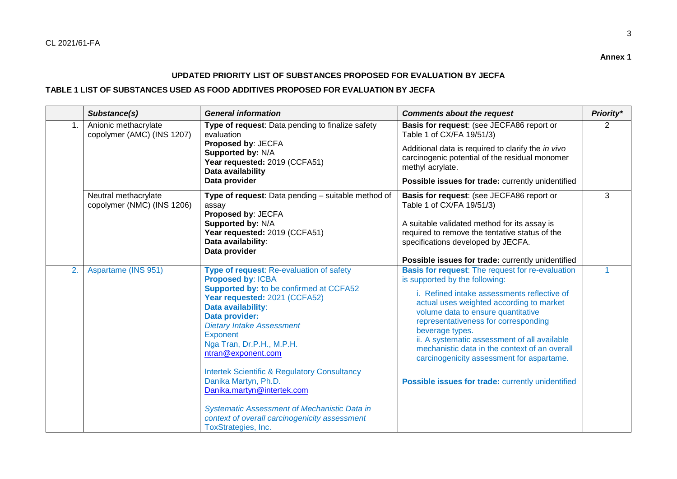3

## **UPDATED PRIORITY LIST OF SUBSTANCES PROPOSED FOR EVALUATION BY JECFA**

### **TABLE 1 LIST OF SUBSTANCES USED AS FOOD ADDITIVES PROPOSED FOR EVALUATION BY JECFA**

|    | Substance(s)                                       | <b>General information</b>                                                                                                                                                                                                                                                                                                                                                                                                                                                                                                                  | <b>Comments about the request</b>                                                                                                                                                                                                                                                                                                                                                                                                                                                        | Priority*    |
|----|----------------------------------------------------|---------------------------------------------------------------------------------------------------------------------------------------------------------------------------------------------------------------------------------------------------------------------------------------------------------------------------------------------------------------------------------------------------------------------------------------------------------------------------------------------------------------------------------------------|------------------------------------------------------------------------------------------------------------------------------------------------------------------------------------------------------------------------------------------------------------------------------------------------------------------------------------------------------------------------------------------------------------------------------------------------------------------------------------------|--------------|
|    | Anionic methacrylate<br>copolymer (AMC) (INS 1207) | Type of request: Data pending to finalize safety<br>evaluation<br>Proposed by: JECFA<br>Supported by: N/A<br>Year requested: 2019 (CCFA51)<br>Data availability<br>Data provider                                                                                                                                                                                                                                                                                                                                                            | Basis for request: (see JECFA86 report or<br>Table 1 of CX/FA 19/51/3)<br>Additional data is required to clarify the in vivo<br>carcinogenic potential of the residual monomer<br>methyl acrylate.<br>Possible issues for trade: currently unidentified                                                                                                                                                                                                                                  | 2            |
|    | Neutral methacrylate<br>copolymer (NMC) (INS 1206) | Type of request: Data pending - suitable method of<br>assay<br>Proposed by: JECFA<br>Supported by: N/A<br>Year requested: 2019 (CCFA51)<br>Data availability:<br>Data provider                                                                                                                                                                                                                                                                                                                                                              | Basis for request: (see JECFA86 report or<br>Table 1 of CX/FA 19/51/3)<br>A suitable validated method for its assay is<br>required to remove the tentative status of the<br>specifications developed by JECFA.<br>Possible issues for trade: currently unidentified                                                                                                                                                                                                                      | 3            |
| 2. | Aspartame (INS 951)                                | Type of request: Re-evaluation of safety<br>Proposed by: ICBA<br><b>Supported by: to be confirmed at CCFA52</b><br>Year requested: 2021 (CCFA52)<br>Data availability:<br>Data provider:<br><b>Dietary Intake Assessment</b><br>Exponent<br>Nga Tran, Dr.P.H., M.P.H.<br>ntran@exponent.com<br><b>Intertek Scientific &amp; Regulatory Consultancy</b><br>Danika Martyn, Ph.D.<br>Danika.martyn@intertek.com<br><b>Systematic Assessment of Mechanistic Data in</b><br>context of overall carcinogenicity assessment<br>ToxStrategies, Inc. | <b>Basis for request:</b> The request for re-evaluation<br>is supported by the following:<br>i. Refined intake assessments reflective of<br>actual uses weighted according to market<br>volume data to ensure quantitative<br>representativeness for corresponding<br>beverage types.<br>ii. A systematic assessment of all available<br>mechanistic data in the context of an overall<br>carcinogenicity assessment for aspartame.<br>Possible issues for trade: currently unidentified | $\mathbf{1}$ |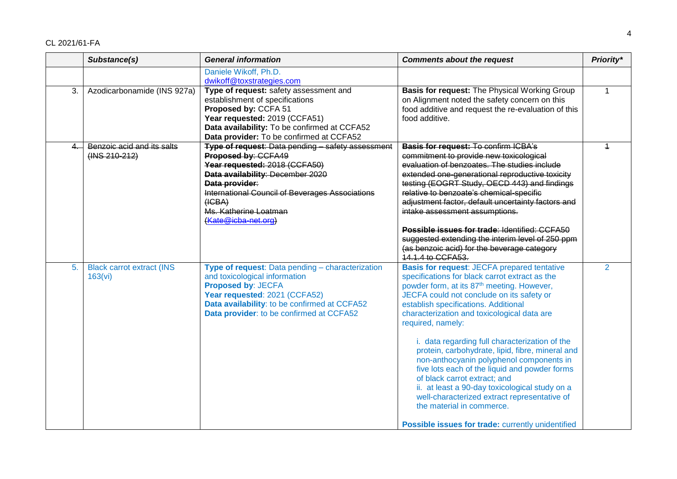|                | Substance(s)                                    | <b>General information</b>                                                                                                                                                                                                                                                   | <b>Comments about the request</b>                                                                                                                                                                                                                                                                                                                                                                                                                                                                                                                                                                                                                                                                                                              | Priority*      |
|----------------|-------------------------------------------------|------------------------------------------------------------------------------------------------------------------------------------------------------------------------------------------------------------------------------------------------------------------------------|------------------------------------------------------------------------------------------------------------------------------------------------------------------------------------------------------------------------------------------------------------------------------------------------------------------------------------------------------------------------------------------------------------------------------------------------------------------------------------------------------------------------------------------------------------------------------------------------------------------------------------------------------------------------------------------------------------------------------------------------|----------------|
|                |                                                 | Daniele Wikoff, Ph.D.<br>dwikoff@toxstrategies.com                                                                                                                                                                                                                           |                                                                                                                                                                                                                                                                                                                                                                                                                                                                                                                                                                                                                                                                                                                                                |                |
| 3.             | Azodicarbonamide (INS 927a)                     | Type of request: safety assessment and<br>establishment of specifications<br>Proposed by: CCFA 51<br>Year requested: 2019 (CCFA51)<br>Data availability: To be confirmed at CCFA52<br>Data provider: To be confirmed at CCFA52                                               | Basis for request: The Physical Working Group<br>on Alignment noted the safety concern on this<br>food additive and request the re-evaluation of this<br>food additive.                                                                                                                                                                                                                                                                                                                                                                                                                                                                                                                                                                        | $\mathbf{1}$   |
| $\overline{4}$ | Benzoic acid and its salts<br>$(1NS 210 - 212)$ | Type of request: Data pending - safety assessment<br>Proposed by: CCFA49<br>Year requested: 2018 (CCFA50)<br>Data availability: December 2020<br>Data provider:<br>International Council of Beverages Associations<br>(HGBA)<br>Ms. Katherine Loatman<br>(Kate@icba-net.org) | <b>Basis for request: To confirm ICBA's</b><br>commitment to provide new toxicological<br>evaluation of benzoates. The studies include<br>extended one-generational reproductive toxicity<br>testing (EOGRT Study, OECD 443) and findings<br>relative to benzoate's chemical-specific<br>adjustment factor, default uncertainty factors and<br>intake assessment assumptions.<br>Possible issues for trade: Identified: CCFA50<br>suggested extending the interim level of 250 ppm<br>(as benzoic acid) for the beverage category<br>14.1.4 to CCFA53.                                                                                                                                                                                         | $\overline{1}$ |
| 5.             | <b>Black carrot extract (INS</b><br>163(vi)     | Type of request: Data pending - characterization<br>and toxicological information<br>Proposed by: JECFA<br>Year requested: 2021 (CCFA52)<br>Data availability: to be confirmed at CCFA52<br>Data provider: to be confirmed at CCFA52                                         | <b>Basis for request: JECFA prepared tentative</b><br>specifications for black carrot extract as the<br>powder form, at its 87 <sup>th</sup> meeting. However,<br>JECFA could not conclude on its safety or<br>establish specifications. Additional<br>characterization and toxicological data are<br>required, namely:<br>i. data regarding full characterization of the<br>protein, carbohydrate, lipid, fibre, mineral and<br>non-anthocyanin polyphenol components in<br>five lots each of the liquid and powder forms<br>of black carrot extract; and<br>ii. at least a 90-day toxicological study on a<br>well-characterized extract representative of<br>the material in commerce.<br>Possible issues for trade: currently unidentified | $\overline{2}$ |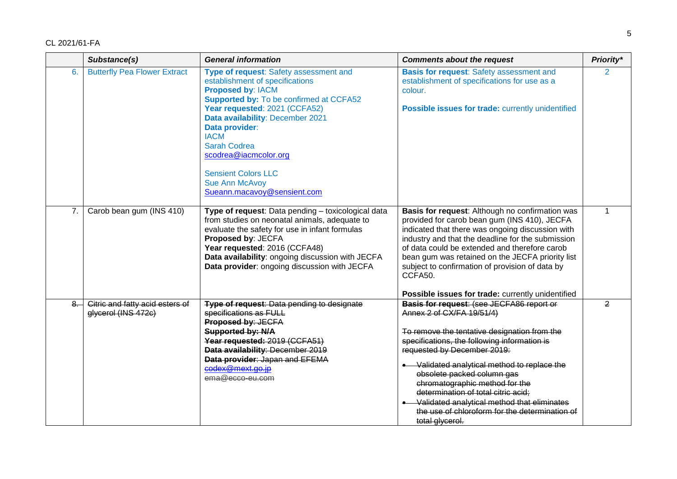|      | Substance(s)                                           | <b>General information</b>                                                                                                                                                                                                                                                                                                                                                                   | <b>Comments about the request</b>                                                                                                                                                                                                                                                                                                                                                                                                                                                  | Priority*      |
|------|--------------------------------------------------------|----------------------------------------------------------------------------------------------------------------------------------------------------------------------------------------------------------------------------------------------------------------------------------------------------------------------------------------------------------------------------------------------|------------------------------------------------------------------------------------------------------------------------------------------------------------------------------------------------------------------------------------------------------------------------------------------------------------------------------------------------------------------------------------------------------------------------------------------------------------------------------------|----------------|
| 6.   | <b>Butterfly Pea Flower Extract</b>                    | Type of request: Safety assessment and<br>establishment of specifications<br><b>Proposed by: IACM</b><br><b>Supported by: To be confirmed at CCFA52</b><br>Year requested: 2021 (CCFA52)<br>Data availability: December 2021<br>Data provider:<br><b>IACM</b><br><b>Sarah Codrea</b><br>scodrea@iacmcolor.org<br><b>Sensient Colors LLC</b><br>Sue Ann McAvoy<br>Sueann.macavoy@sensient.com | <b>Basis for request:</b> Safety assessment and<br>establishment of specifications for use as a<br>colour.<br>Possible issues for trade: currently unidentified                                                                                                                                                                                                                                                                                                                    | 2              |
| 7.   | Carob bean gum (INS 410)                               | Type of request: Data pending - toxicological data<br>from studies on neonatal animals, adequate to<br>evaluate the safety for use in infant formulas<br>Proposed by: JECFA<br>Year requested: 2016 (CCFA48)<br>Data availability: ongoing discussion with JECFA<br>Data provider: ongoing discussion with JECFA                                                                             | Basis for request: Although no confirmation was<br>provided for carob bean gum (INS 410), JECFA<br>indicated that there was ongoing discussion with<br>industry and that the deadline for the submission<br>of data could be extended and therefore carob<br>bean gum was retained on the JECFA priority list<br>subject to confirmation of provision of data by<br>CCFA50.<br>Possible issues for trade: currently unidentified                                                   | 1              |
| $8-$ | Citric and fatty acid esters of<br>glycerol (INS 472c) | Type of request: Data pending to designate<br>specifications as FULL<br>Proposed by: JECFA<br>Supported by: N/A<br>Year requested: 2019 (CCFA51)<br>Data availability: December 2019<br>Data provider: Japan and EFEMA<br>codex@mext.go.jp<br>ema@ecco-eu.com                                                                                                                                | Basis for request: (see JECFA86 report or<br>Annex 2 of CX/FA 19/51/4)<br>To remove the tentative designation from the<br>specifications, the following information is<br>requested by December 2019:<br>• Validated analytical method to replace the<br>obsolete packed column gas<br>chromatographic method for the<br>determination of total citric acid;<br>• Validated analytical method that eliminates<br>the use of chloroform for the determination of<br>total glycerol. | $\overline{2}$ |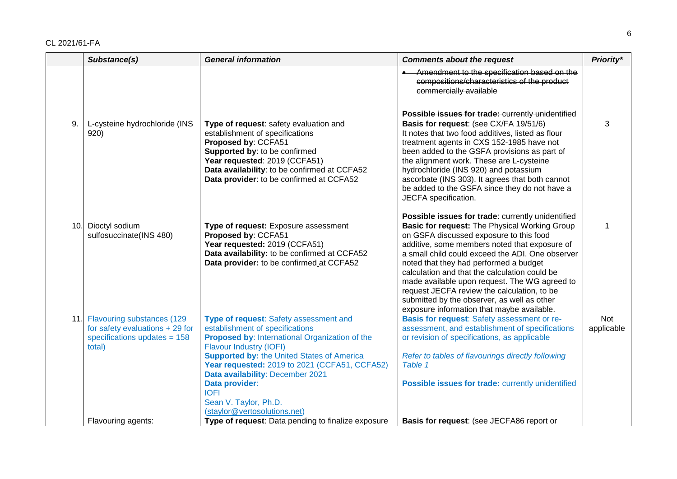|     | Substance(s)                                                                                              | <b>General information</b>                                                                                                                                                                                                                                                                                                                                                                        | <b>Comments about the request</b>                                                                                                                                                                                                                                                                                                                                                                                                                                                     | Priority*         |
|-----|-----------------------------------------------------------------------------------------------------------|---------------------------------------------------------------------------------------------------------------------------------------------------------------------------------------------------------------------------------------------------------------------------------------------------------------------------------------------------------------------------------------------------|---------------------------------------------------------------------------------------------------------------------------------------------------------------------------------------------------------------------------------------------------------------------------------------------------------------------------------------------------------------------------------------------------------------------------------------------------------------------------------------|-------------------|
|     |                                                                                                           |                                                                                                                                                                                                                                                                                                                                                                                                   | Amendment to the specification based on the<br>compositions/characteristics of the product<br>commercially available                                                                                                                                                                                                                                                                                                                                                                  |                   |
|     |                                                                                                           |                                                                                                                                                                                                                                                                                                                                                                                                   | Possible issues for trade: currently unidentified                                                                                                                                                                                                                                                                                                                                                                                                                                     |                   |
| 9.  | L-cysteine hydrochloride (INS<br>920)                                                                     | Type of request: safety evaluation and<br>establishment of specifications<br>Proposed by: CCFA51<br>Supported by: to be confirmed<br>Year requested: 2019 (CCFA51)<br>Data availability: to be confirmed at CCFA52<br>Data provider: to be confirmed at CCFA52                                                                                                                                    | Basis for request: (see CX/FA 19/51/6)<br>It notes that two food additives, listed as flour<br>treatment agents in CXS 152-1985 have not<br>been added to the GSFA provisions as part of<br>the alignment work. These are L-cysteine<br>hydrochloride (INS 920) and potassium<br>ascorbate (INS 303). It agrees that both cannot<br>be added to the GSFA since they do not have a<br>JECFA specification.                                                                             | 3                 |
|     |                                                                                                           |                                                                                                                                                                                                                                                                                                                                                                                                   | Possible issues for trade: currently unidentified                                                                                                                                                                                                                                                                                                                                                                                                                                     |                   |
| 10. | Dioctyl sodium<br>sulfosuccinate(INS 480)                                                                 | Type of request: Exposure assessment<br>Proposed by: CCFA51<br>Year requested: 2019 (CCFA51)<br>Data availability: to be confirmed at CCFA52<br>Data provider: to be confirmed at CCFA52                                                                                                                                                                                                          | Basic for request: The Physical Working Group<br>on GSFA discussed exposure to this food<br>additive, some members noted that exposure of<br>a small child could exceed the ADI. One observer<br>noted that they had performed a budget<br>calculation and that the calculation could be<br>made available upon request. The WG agreed to<br>request JECFA review the calculation, to be<br>submitted by the observer, as well as other<br>exposure information that maybe available. | $\mathbf 1$       |
| 11. | Flavouring substances (129<br>for safety evaluations + 29 for<br>specifications updates $= 158$<br>total) | Type of request: Safety assessment and<br>establishment of specifications<br>Proposed by: International Organization of the<br><b>Flavour Industry (IOFI)</b><br><b>Supported by: the United States of America</b><br>Year requested: 2019 to 2021 (CCFA51, CCFA52)<br>Data availability: December 2021<br>Data provider:<br><b>IOFI</b><br>Sean V. Taylor, Ph.D.<br>(staylor@vertosolutions.net) | Basis for request: Safety assessment or re-<br>assessment, and establishment of specifications<br>or revision of specifications, as applicable<br>Refer to tables of flavourings directly following<br>Table 1<br>Possible issues for trade: currently unidentified                                                                                                                                                                                                                   | Not<br>applicable |
|     | Flavouring agents:                                                                                        | Type of request: Data pending to finalize exposure                                                                                                                                                                                                                                                                                                                                                | Basis for request: (see JECFA86 report or                                                                                                                                                                                                                                                                                                                                                                                                                                             |                   |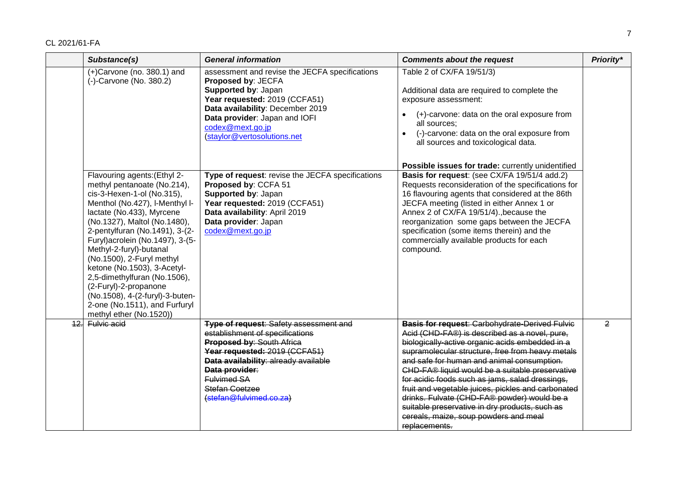|                 | Substance(s)                                                                                                                                                                                                                                                                                                                                                                                                                                                                                                  | <b>General information</b>                                                                                                                                                                                                                                                                | <b>Comments about the request</b>                                                                                                                                                                                                                                                                                                                                                                                                                                                                                                                                                  | Priority*      |
|-----------------|---------------------------------------------------------------------------------------------------------------------------------------------------------------------------------------------------------------------------------------------------------------------------------------------------------------------------------------------------------------------------------------------------------------------------------------------------------------------------------------------------------------|-------------------------------------------------------------------------------------------------------------------------------------------------------------------------------------------------------------------------------------------------------------------------------------------|------------------------------------------------------------------------------------------------------------------------------------------------------------------------------------------------------------------------------------------------------------------------------------------------------------------------------------------------------------------------------------------------------------------------------------------------------------------------------------------------------------------------------------------------------------------------------------|----------------|
|                 | $(+)$ Carvone (no. 380.1) and<br>(-)-Carvone (No. 380.2)                                                                                                                                                                                                                                                                                                                                                                                                                                                      | assessment and revise the JECFA specifications<br>Proposed by: JECFA<br>Supported by: Japan<br>Year requested: 2019 (CCFA51)<br>Data availability: December 2019<br>Data provider: Japan and IOFI<br>codex@mext.go.jp<br>(staylor@vertosolutions.net                                      | Table 2 of CX/FA 19/51/3)<br>Additional data are required to complete the<br>exposure assessment:<br>(+)-carvone: data on the oral exposure from<br>all sources;<br>(-)-carvone: data on the oral exposure from<br>$\bullet$<br>all sources and toxicological data.                                                                                                                                                                                                                                                                                                                |                |
|                 | Flavouring agents: (Ethyl 2-<br>methyl pentanoate (No.214),<br>cis-3-Hexen-1-ol (No.315),<br>Menthol (No.427), I-Menthyl I-<br>lactate (No.433), Myrcene<br>(No.1327), Maltol (No.1480),<br>2-pentylfuran (No.1491), 3-(2-<br>Furyl) acrolein (No.1497), 3-(5-<br>Methyl-2-furyl)-butanal<br>(No.1500), 2-Furyl methyl<br>ketone (No.1503), 3-Acetyl-<br>2,5-dimethylfuran (No.1506),<br>(2-Furyl)-2-propanone<br>(No.1508), 4-(2-furyl)-3-buten-<br>2-one (No.1511), and Furfuryl<br>methyl ether (No.1520)) | Type of request: revise the JECFA specifications<br>Proposed by: CCFA 51<br>Supported by: Japan<br>Year requested: 2019 (CCFA51)<br>Data availability: April 2019<br>Data provider: Japan<br>codex@mext.go.jp                                                                             | Possible issues for trade: currently unidentified<br>Basis for request: (see CX/FA 19/51/4 add.2)<br>Requests reconsideration of the specifications for<br>16 flavouring agents that considered at the 86th<br>JECFA meeting (listed in either Annex 1 or<br>Annex 2 of CX/FA 19/51/4)., because the<br>reorganization some gaps between the JECFA<br>specification (some items therein) and the<br>commercially available products for each<br>compound.                                                                                                                          |                |
| $\overline{12}$ | Fulvic acid                                                                                                                                                                                                                                                                                                                                                                                                                                                                                                   | <b>Type of request: Safety assessment and</b><br>establishment of specifications<br><b>Proposed by: South Africa</b><br>Year requested: 2019 (CCFA51)<br>Data availability: already available<br>Data provider:<br><b>Fulvimed SA</b><br><b>Stefan Coetzee</b><br>(stefan@fulvimed.co.za) | <b>Basis for request: Carbohydrate-Derived Fulvic</b><br>Acid (CHD-FA®) is described as a novel, pure,<br>biologically-active organic acids embedded in a<br>supramolecular structure, free from heavy metals<br>and safe for human and animal consumption.<br>CHD-FA® liquid would be a suitable preservative<br>for acidic foods such as jams, salad dressings,<br>fruit and vegetable juices, pickles and carbonated<br>drinks. Fulvate (CHD-FA® powder) would be a<br>suitable preservative in dry products, such as<br>cereals, maize, soup powders and meal<br>replacements. | $\overline{2}$ |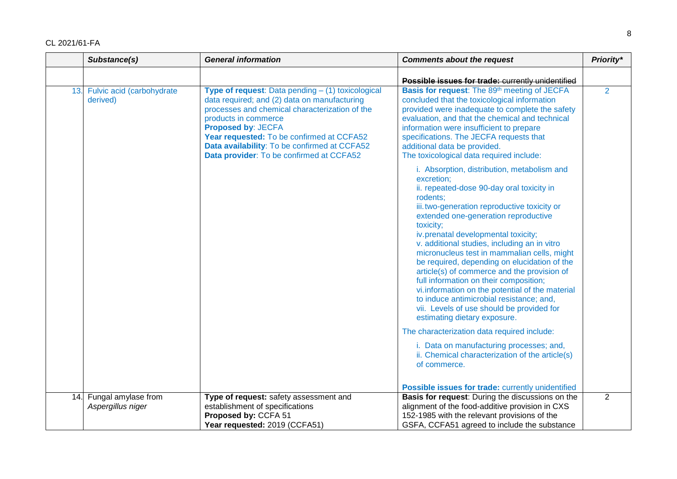|     | Substance(s)                             | <b>General information</b>                                                                                                                                                                                                                                                                                                                        | <b>Comments about the request</b>                                                                                                                                                                                                                                                                                                                                                                                                                                                                                                                                                                                                                                                   | Priority*      |
|-----|------------------------------------------|---------------------------------------------------------------------------------------------------------------------------------------------------------------------------------------------------------------------------------------------------------------------------------------------------------------------------------------------------|-------------------------------------------------------------------------------------------------------------------------------------------------------------------------------------------------------------------------------------------------------------------------------------------------------------------------------------------------------------------------------------------------------------------------------------------------------------------------------------------------------------------------------------------------------------------------------------------------------------------------------------------------------------------------------------|----------------|
|     |                                          |                                                                                                                                                                                                                                                                                                                                                   | Possible issues for trade: currently unidentified                                                                                                                                                                                                                                                                                                                                                                                                                                                                                                                                                                                                                                   |                |
| 13. | Fulvic acid (carbohydrate<br>derived)    | Type of request: Data pending - (1) toxicological<br>data required; and (2) data on manufacturing<br>processes and chemical characterization of the<br>products in commerce<br><b>Proposed by: JECFA</b><br>Year requested: To be confirmed at CCFA52<br>Data availability: To be confirmed at CCFA52<br>Data provider: To be confirmed at CCFA52 | Basis for request: The 89th meeting of JECFA<br>concluded that the toxicological information<br>provided were inadequate to complete the safety<br>evaluation, and that the chemical and technical<br>information were insufficient to prepare<br>specifications. The JECFA requests that<br>additional data be provided.<br>The toxicological data required include:                                                                                                                                                                                                                                                                                                               | $\overline{2}$ |
|     |                                          |                                                                                                                                                                                                                                                                                                                                                   | i. Absorption, distribution, metabolism and<br>excretion;<br>ii. repeated-dose 90-day oral toxicity in<br>rodents:<br>iii. two-generation reproductive toxicity or<br>extended one-generation reproductive<br>toxicity;<br>iv.prenatal developmental toxicity;<br>v. additional studies, including an in vitro<br>micronucleus test in mammalian cells, might<br>be required, depending on elucidation of the<br>article(s) of commerce and the provision of<br>full information on their composition;<br>vi. information on the potential of the material<br>to induce antimicrobial resistance; and,<br>vii. Levels of use should be provided for<br>estimating dietary exposure. |                |
|     |                                          |                                                                                                                                                                                                                                                                                                                                                   | The characterization data required include:                                                                                                                                                                                                                                                                                                                                                                                                                                                                                                                                                                                                                                         |                |
|     |                                          |                                                                                                                                                                                                                                                                                                                                                   | i. Data on manufacturing processes; and,<br>ii. Chemical characterization of the article(s)<br>of commerce.                                                                                                                                                                                                                                                                                                                                                                                                                                                                                                                                                                         |                |
|     |                                          |                                                                                                                                                                                                                                                                                                                                                   | Possible issues for trade: currently unidentified                                                                                                                                                                                                                                                                                                                                                                                                                                                                                                                                                                                                                                   |                |
| 14. | Fungal amylase from<br>Aspergillus niger | Type of request: safety assessment and<br>establishment of specifications                                                                                                                                                                                                                                                                         | Basis for request: During the discussions on the<br>alignment of the food-additive provision in CXS                                                                                                                                                                                                                                                                                                                                                                                                                                                                                                                                                                                 | $\overline{2}$ |
|     |                                          | Proposed by: CCFA 51                                                                                                                                                                                                                                                                                                                              | 152-1985 with the relevant provisions of the                                                                                                                                                                                                                                                                                                                                                                                                                                                                                                                                                                                                                                        |                |
|     |                                          | Year requested: 2019 (CCFA51)                                                                                                                                                                                                                                                                                                                     | GSFA, CCFA51 agreed to include the substance                                                                                                                                                                                                                                                                                                                                                                                                                                                                                                                                                                                                                                        |                |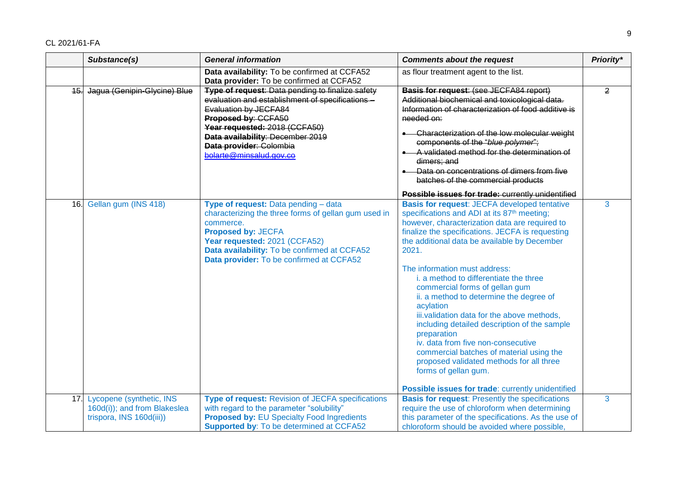|     | Substance(s)                                                                         | <b>General information</b>                                                                                                                                                                                                                                                      | <b>Comments about the request</b>                                                                                                                                                                                                                                                                                                                                                                                                                                                                                                                                                                                                                                                                                                                                          | Priority*      |
|-----|--------------------------------------------------------------------------------------|---------------------------------------------------------------------------------------------------------------------------------------------------------------------------------------------------------------------------------------------------------------------------------|----------------------------------------------------------------------------------------------------------------------------------------------------------------------------------------------------------------------------------------------------------------------------------------------------------------------------------------------------------------------------------------------------------------------------------------------------------------------------------------------------------------------------------------------------------------------------------------------------------------------------------------------------------------------------------------------------------------------------------------------------------------------------|----------------|
|     |                                                                                      | Data availability: To be confirmed at CCFA52<br>Data provider: To be confirmed at CCFA52                                                                                                                                                                                        | as flour treatment agent to the list.                                                                                                                                                                                                                                                                                                                                                                                                                                                                                                                                                                                                                                                                                                                                      |                |
| 45. | Jagua (Genipin-Glycine) Blue                                                         | Type of request: Data pending to finalize safety<br>evaluation and establishment of specifications -<br>Evaluation by JECFA84<br>Proposed by: CCFA50<br>Year requested: 2018 (CCFA50)<br>Data availability: December 2019<br>Data provider: Colombia<br>bolarte@minsalud.gov.co | <b>Basis for request: (see JECFA84 report)</b><br>Additional biochemical and toxicological data.<br>Information of characterization of food additive is<br>needed on:<br>• Characterization of the low molecular weight<br>components of the "blue polymer";<br>A validated method for the determination of<br>dimers; and<br>Data on concentrations of dimers from five<br>batches of the commercial products<br>Possible issues for trade: currently unidentified                                                                                                                                                                                                                                                                                                        | $\overline{2}$ |
|     | 16. Gellan gum (INS 418)                                                             | Type of request: Data pending - data<br>characterizing the three forms of gellan gum used in<br>commerce.<br><b>Proposed by: JECFA</b><br>Year requested: 2021 (CCFA52)<br>Data availability: To be confirmed at CCFA52<br>Data provider: To be confirmed at CCFA52             | <b>Basis for request: JECFA developed tentative</b><br>specifications and ADI at its 87 <sup>th</sup> meeting;<br>however, characterization data are required to<br>finalize the specifications. JECFA is requesting<br>the additional data be available by December<br>2021.<br>The information must address:<br>i. a method to differentiate the three<br>commercial forms of gellan gum<br>ii. a method to determine the degree of<br>acylation<br>iii.validation data for the above methods,<br>including detailed description of the sample<br>preparation<br>iv. data from five non-consecutive<br>commercial batches of material using the<br>proposed validated methods for all three<br>forms of gellan gum.<br>Possible issues for trade: currently unidentified | 3              |
| 17. | Lycopene (synthetic, INS<br>160d(i)); and from Blakeslea<br>trispora, INS 160d(iii)) | <b>Type of request: Revision of JECFA specifications</b><br>with regard to the parameter "solubility"<br><b>Proposed by: EU Specialty Food Ingredients</b><br><b>Supported by: To be determined at CCFA52</b>                                                                   | <b>Basis for request: Presently the specifications</b><br>require the use of chloroform when determining<br>this parameter of the specifications. As the use of<br>chloroform should be avoided where possible,                                                                                                                                                                                                                                                                                                                                                                                                                                                                                                                                                            | 3              |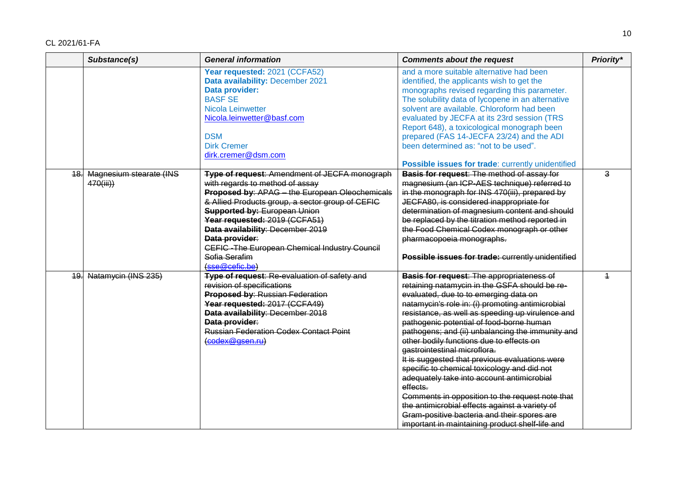|     | Substance(s)            | <b>General information</b>                       | <b>Comments about the request</b>                 | Priority*      |
|-----|-------------------------|--------------------------------------------------|---------------------------------------------------|----------------|
|     |                         | Year requested: 2021 (CCFA52)                    | and a more suitable alternative had been          |                |
|     |                         | Data availability: December 2021                 | identified, the applicants wish to get the        |                |
|     |                         | Data provider:                                   | monographs revised regarding this parameter.      |                |
|     |                         | <b>BASF SE</b>                                   | The solubility data of lycopene in an alternative |                |
|     |                         | Nicola Leinwetter                                | solvent are available. Chloroform had been        |                |
|     |                         | Nicola.leinwetter@basf.com                       | evaluated by JECFA at its 23rd session (TRS       |                |
|     |                         |                                                  | Report 648), a toxicological monograph been       |                |
|     |                         | <b>DSM</b>                                       | prepared (FAS 14-JECFA 23/24) and the ADI         |                |
|     |                         | <b>Dirk Cremer</b>                               | been determined as: "not to be used".             |                |
|     |                         | dirk.cremer@dsm.com                              |                                                   |                |
|     |                         |                                                  | Possible issues for trade: currently unidentified |                |
| 18. | Magnesium stearate (INS | Type of request: Amendment of JECFA monograph    | Basis for request: The method of assay for        | $\overline{3}$ |
|     | 470(iii))               | with regards to method of assay                  | magnesium (an ICP-AES technique) referred to      |                |
|     |                         | Proposed by: APAG - the European Oleochemicals   | in the monograph for INS 470(iii), prepared by    |                |
|     |                         | & Allied Products group, a sector group of CEFIC | JECFA80, is considered inappropriate for          |                |
|     |                         | <b>Supported by: European Union</b>              | determination of magnesium content and should     |                |
|     |                         | Year requested: 2019 (CCFA51)                    | be replaced by the titration method reported in   |                |
|     |                         | Data availability: December 2019                 | the Food Chemical Codex monograph or other        |                |
|     |                         | Data provider:                                   | pharmacopoeia monographs.                         |                |
|     |                         | CEFIC - The European Chemical Industry Council   |                                                   |                |
|     |                         | Sofia Serafim                                    | Possible issues for trade: currently unidentified |                |
|     |                         | (sse@cefic.be)                                   |                                                   |                |
| 19. | Natamycin (INS 235)     | Type of request: Re-evaluation of safety and     | <b>Basis for request: The appropriateness of</b>  | $\overline{1}$ |
|     |                         | revision of specifications                       | retaining natamycin in the GSFA should be re-     |                |
|     |                         | Proposed by: Russian Federation                  | evaluated, due to to emerging data on             |                |
|     |                         | Year requested: 2017 (CCFA49)                    | natamycin's role in: (i) promoting antimicrobial  |                |
|     |                         | Data availability: December 2018                 | resistance, as well as speeding up virulence and  |                |
|     |                         | Data provider:                                   | pathogenic potential of food-borne human          |                |
|     |                         | <b>Russian Federation Codex Contact Point</b>    | pathogens; and (ii) unbalancing the immunity and  |                |
|     |                         | (codex@gsen.ru)                                  | other bodily functions due to effects on          |                |
|     |                         |                                                  | gastrointestinal microflora.                      |                |
|     |                         |                                                  | It is suggested that previous evaluations were    |                |
|     |                         |                                                  | specific to chemical toxicology and did not       |                |
|     |                         |                                                  | adequately take into account antimicrobial        |                |
|     |                         |                                                  | effects.                                          |                |
|     |                         |                                                  | Comments in opposition to the request note that   |                |
|     |                         |                                                  | the antimicrobial effects against a variety of    |                |
|     |                         |                                                  | Gram-positive bacteria and their spores are       |                |
|     |                         |                                                  | important in maintaining product shelf-life and   |                |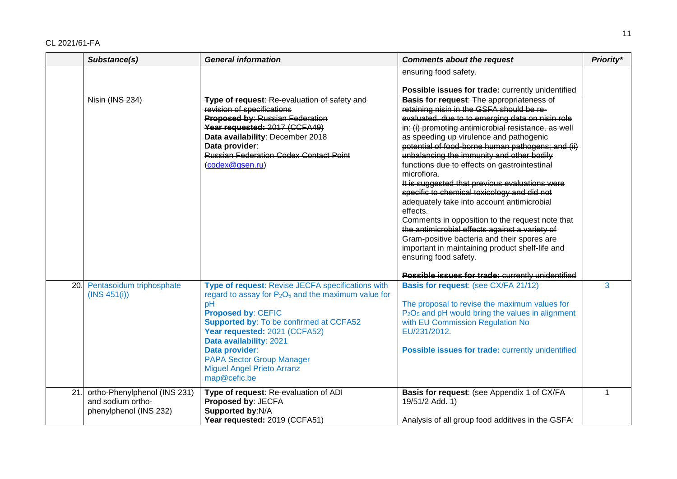|     | Substance(s)                                                                | <b>General information</b>                                                                                                                                                                                                                                                                                                                                              | <b>Comments about the request</b>                                                                                                                                                                                                                                                                                                                                                                                                                                                                                                                                                                                                                                                                                                                                                                                                                                    | Priority* |
|-----|-----------------------------------------------------------------------------|-------------------------------------------------------------------------------------------------------------------------------------------------------------------------------------------------------------------------------------------------------------------------------------------------------------------------------------------------------------------------|----------------------------------------------------------------------------------------------------------------------------------------------------------------------------------------------------------------------------------------------------------------------------------------------------------------------------------------------------------------------------------------------------------------------------------------------------------------------------------------------------------------------------------------------------------------------------------------------------------------------------------------------------------------------------------------------------------------------------------------------------------------------------------------------------------------------------------------------------------------------|-----------|
|     |                                                                             |                                                                                                                                                                                                                                                                                                                                                                         | ensuring food safety.                                                                                                                                                                                                                                                                                                                                                                                                                                                                                                                                                                                                                                                                                                                                                                                                                                                |           |
|     | Nisin (INS 234)                                                             | Type of request: Re-evaluation of safety and<br>revision of specifications<br>Proposed by: Russian Federation<br>Year requested: 2017 (CCFA49)<br>Data availability: December 2018<br>Data provider:<br><b>Russian Federation Codex Contact Point</b><br>(codex@gsen.ru)                                                                                                | Possible issues for trade: currently unidentified<br><b>Basis for request: The appropriateness of</b><br>retaining nisin in the GSFA should be re-<br>evaluated, due to to emerging data on nisin role<br>in: (i) promoting antimicrobial resistance, as well<br>as speeding up virulence and pathogenie<br>potential of food-borne human pathogens; and (ii)<br>unbalancing the immunity and other bodily<br>functions due to effects on gastrointestinal<br>microflora.<br>It is suggested that previous evaluations were<br>specific to chemical toxicology and did not<br>adequately take into account antimicrobial<br>effects.<br>Comments in opposition to the request note that<br>the antimicrobial effects against a variety of<br>Gram-positive bacteria and their spores are<br>important in maintaining product shelf-life and<br>ensuring food safety. |           |
|     |                                                                             |                                                                                                                                                                                                                                                                                                                                                                         |                                                                                                                                                                                                                                                                                                                                                                                                                                                                                                                                                                                                                                                                                                                                                                                                                                                                      |           |
| 20. | Pentasoidum triphosphate<br>(INS 451(i))                                    | Type of request: Revise JECFA specifications with<br>regard to assay for $P_2O_5$ and the maximum value for<br>pH<br><b>Proposed by: CEFIC</b><br><b>Supported by: To be confirmed at CCFA52</b><br>Year requested: 2021 (CCFA52)<br>Data availability: 2021<br>Data provider:<br><b>PAPA Sector Group Manager</b><br><b>Miguel Angel Prieto Arranz</b><br>map@cefic.be | Possible issues for trade: currently unidentified<br><b>Basis for request: (see CX/FA 21/12)</b><br>The proposal to revise the maximum values for<br>P <sub>2</sub> O <sub>5</sub> and pH would bring the values in alignment<br>with EU Commission Regulation No<br>EU/231/2012.<br>Possible issues for trade: currently unidentified                                                                                                                                                                                                                                                                                                                                                                                                                                                                                                                               | 3         |
| 21. | ortho-Phenylphenol (INS 231)<br>and sodium ortho-<br>phenylphenol (INS 232) | Type of request: Re-evaluation of ADI<br>Proposed by: JECFA<br>Supported by:N/A<br>Year requested: 2019 (CCFA51)                                                                                                                                                                                                                                                        | Basis for request: (see Appendix 1 of CX/FA<br>19/51/2 Add. 1)<br>Analysis of all group food additives in the GSFA:                                                                                                                                                                                                                                                                                                                                                                                                                                                                                                                                                                                                                                                                                                                                                  | 1         |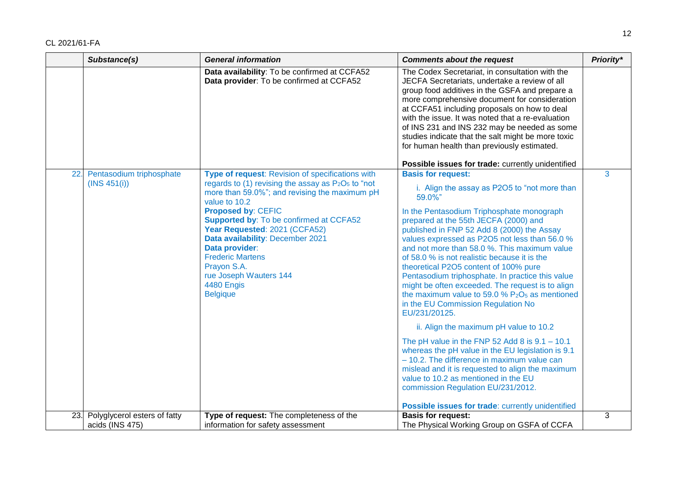|     | Substance(s)                             | <b>General information</b>                                                                                                                                                                                                                                                                                                                                                                                                                             | <b>Comments about the request</b>                                                                                                                                                                                                                                                                                                                                                                                                                                                                                                                                                                                                     | Priority* |
|-----|------------------------------------------|--------------------------------------------------------------------------------------------------------------------------------------------------------------------------------------------------------------------------------------------------------------------------------------------------------------------------------------------------------------------------------------------------------------------------------------------------------|---------------------------------------------------------------------------------------------------------------------------------------------------------------------------------------------------------------------------------------------------------------------------------------------------------------------------------------------------------------------------------------------------------------------------------------------------------------------------------------------------------------------------------------------------------------------------------------------------------------------------------------|-----------|
|     |                                          | Data availability: To be confirmed at CCFA52<br>Data provider: To be confirmed at CCFA52                                                                                                                                                                                                                                                                                                                                                               | The Codex Secretariat, in consultation with the<br>JECFA Secretariats, undertake a review of all<br>group food additives in the GSFA and prepare a<br>more comprehensive document for consideration<br>at CCFA51 including proposals on how to deal<br>with the issue. It was noted that a re-evaluation<br>of INS 231 and INS 232 may be needed as some<br>studies indicate that the salt might be more toxic<br>for human health than previously estimated.                                                                                                                                                                         |           |
|     |                                          |                                                                                                                                                                                                                                                                                                                                                                                                                                                        | Possible issues for trade: currently unidentified                                                                                                                                                                                                                                                                                                                                                                                                                                                                                                                                                                                     | 3         |
| 22. | Pentasodium triphosphate<br>(INS 451(i)) | Type of request: Revision of specifications with<br>regards to (1) revising the assay as $P_2O_5$ to "not<br>more than 59.0%"; and revising the maximum pH<br>value to 10.2<br><b>Proposed by: CEFIC</b><br><b>Supported by: To be confirmed at CCFA52</b><br>Year Requested: 2021 (CCFA52)<br>Data availability: December 2021<br>Data provider:<br><b>Frederic Martens</b><br>Prayon S.A.<br>rue Joseph Wauters 144<br>4480 Engis<br><b>Belgique</b> | <b>Basis for request:</b><br>i. Align the assay as P2O5 to "not more than<br>59.0%"<br>In the Pentasodium Triphosphate monograph<br>prepared at the 55th JECFA (2000) and<br>published in FNP 52 Add 8 (2000) the Assay<br>values expressed as P2O5 not less than 56.0 %<br>and not more than 58.0 %. This maximum value<br>of 58.0 % is not realistic because it is the<br>theoretical P2O5 content of 100% pure<br>Pentasodium triphosphate. In practice this value<br>might be often exceeded. The request is to align<br>the maximum value to 59.0 % $P_2O_5$ as mentioned<br>in the EU Commission Regulation No<br>EU/231/20125. |           |
|     |                                          |                                                                                                                                                                                                                                                                                                                                                                                                                                                        | ii. Align the maximum pH value to 10.2                                                                                                                                                                                                                                                                                                                                                                                                                                                                                                                                                                                                |           |
|     |                                          |                                                                                                                                                                                                                                                                                                                                                                                                                                                        | The pH value in the FNP 52 Add 8 is $9.1 - 10.1$<br>whereas the pH value in the EU legislation is 9.1<br>$-10.2$ . The difference in maximum value can<br>mislead and it is requested to align the maximum<br>value to 10.2 as mentioned in the EU<br>commission Regulation EU/231/2012.<br>Possible issues for trade: currently unidentified                                                                                                                                                                                                                                                                                         |           |
| 23. | Polyglycerol esters of fatty             | Type of request: The completeness of the                                                                                                                                                                                                                                                                                                                                                                                                               | <b>Basis for request:</b>                                                                                                                                                                                                                                                                                                                                                                                                                                                                                                                                                                                                             | 3         |
|     | acids (INS 475)                          | information for safety assessment                                                                                                                                                                                                                                                                                                                                                                                                                      | The Physical Working Group on GSFA of CCFA                                                                                                                                                                                                                                                                                                                                                                                                                                                                                                                                                                                            |           |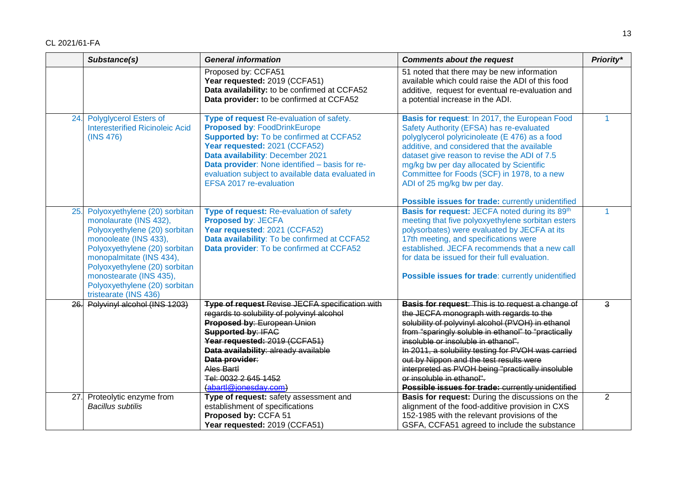|     | Substance(s)                                                                                                                                                                                                                                                                                         | <b>General information</b>                                                                                                                                                                                                                                                                                                               | <b>Comments about the request</b>                                                                                                                                                                                                                                                                                                                                    | Priority*      |
|-----|------------------------------------------------------------------------------------------------------------------------------------------------------------------------------------------------------------------------------------------------------------------------------------------------------|------------------------------------------------------------------------------------------------------------------------------------------------------------------------------------------------------------------------------------------------------------------------------------------------------------------------------------------|----------------------------------------------------------------------------------------------------------------------------------------------------------------------------------------------------------------------------------------------------------------------------------------------------------------------------------------------------------------------|----------------|
|     |                                                                                                                                                                                                                                                                                                      | Proposed by: CCFA51<br>Year requested: 2019 (CCFA51)<br>Data availability: to be confirmed at CCFA52<br>Data provider: to be confirmed at CCFA52                                                                                                                                                                                         | 51 noted that there may be new information<br>available which could raise the ADI of this food<br>additive, request for eventual re-evaluation and<br>a potential increase in the ADI.                                                                                                                                                                               |                |
| 24. | <b>Polyglycerol Esters of</b><br><b>Interesterified Ricinoleic Acid</b><br>(INS 476)                                                                                                                                                                                                                 | Type of request Re-evaluation of safety.<br><b>Proposed by: FoodDrinkEurope</b><br><b>Supported by: To be confirmed at CCFA52</b><br>Year requested: 2021 (CCFA52)<br>Data availability: December 2021<br>Data provider: None identified - basis for re-<br>evaluation subject to available data evaluated in<br>EFSA 2017 re-evaluation | Basis for request: In 2017, the European Food<br>Safety Authority (EFSA) has re-evaluated<br>polyglycerol polyricinoleate (E 476) as a food<br>additive, and considered that the available<br>dataset give reason to revise the ADI of 7.5<br>mg/kg bw per day allocated by Scientific<br>Committee for Foods (SCF) in 1978, to a new<br>ADI of 25 mg/kg bw per day. | $\mathbf{1}$   |
|     |                                                                                                                                                                                                                                                                                                      |                                                                                                                                                                                                                                                                                                                                          | Possible issues for trade: currently unidentified                                                                                                                                                                                                                                                                                                                    |                |
| 25. | Polyoxyethylene (20) sorbitan<br>monolaurate (INS 432),<br>Polyoxyethylene (20) sorbitan<br>monooleate (INS 433),<br>Polyoxyethylene (20) sorbitan<br>monopalmitate (INS 434),<br>Polyoxyethylene (20) sorbitan<br>monostearate (INS 435),<br>Polyoxyethylene (20) sorbitan<br>tristearate (INS 436) | Type of request: Re-evaluation of safety<br><b>Proposed by: JECFA</b><br>Year requested: 2021 (CCFA52)<br>Data availability: To be confirmed at CCFA52<br>Data provider: To be confirmed at CCFA52                                                                                                                                       | Basis for request: JECFA noted during its 89th<br>meeting that five polyoxyethylene sorbitan esters<br>polysorbates) were evaluated by JECFA at its<br>17th meeting, and specifications were<br>established. JECFA recommends that a new call<br>for data be issued for their full evaluation.<br>Possible issues for trade: currently unidentified                  | 1              |
| 26. | Polyvinyl alcohol (INS 1203)                                                                                                                                                                                                                                                                         | Type of request Revise JECFA specification with                                                                                                                                                                                                                                                                                          | <b>Basis for request:</b> This is to request a change of                                                                                                                                                                                                                                                                                                             | 3              |
|     |                                                                                                                                                                                                                                                                                                      | regards to solubility of polyvinyl alcohol                                                                                                                                                                                                                                                                                               | the JECFA monograph with regards to the                                                                                                                                                                                                                                                                                                                              |                |
|     |                                                                                                                                                                                                                                                                                                      | Proposed by: European Union<br><b>Supported by: IFAC</b>                                                                                                                                                                                                                                                                                 | solubility of polyvinyl alcohol (PVOH) in ethanol<br>from "sparingly soluble in ethanol" to "practically                                                                                                                                                                                                                                                             |                |
|     |                                                                                                                                                                                                                                                                                                      | Year requested: 2019 (CCFA51)                                                                                                                                                                                                                                                                                                            | insoluble or insoluble in ethanol".                                                                                                                                                                                                                                                                                                                                  |                |
|     |                                                                                                                                                                                                                                                                                                      | Data availability: already available                                                                                                                                                                                                                                                                                                     | In 2011, a solubility testing for PVOH was carried                                                                                                                                                                                                                                                                                                                   |                |
|     |                                                                                                                                                                                                                                                                                                      | Data provider:                                                                                                                                                                                                                                                                                                                           | out by Nippon and the test results were                                                                                                                                                                                                                                                                                                                              |                |
|     |                                                                                                                                                                                                                                                                                                      | Ales Bartl                                                                                                                                                                                                                                                                                                                               | interpreted as PVOH being "practically insoluble                                                                                                                                                                                                                                                                                                                     |                |
|     |                                                                                                                                                                                                                                                                                                      | Tel: 0032 2 645 1452                                                                                                                                                                                                                                                                                                                     | or insoluble in ethanol".                                                                                                                                                                                                                                                                                                                                            |                |
|     |                                                                                                                                                                                                                                                                                                      | (abartl@ionesday.com)                                                                                                                                                                                                                                                                                                                    | Possible issues for trade: currently unidentified                                                                                                                                                                                                                                                                                                                    |                |
| 27. | Proteolytic enzyme from                                                                                                                                                                                                                                                                              | Type of request: safety assessment and                                                                                                                                                                                                                                                                                                   | Basis for request: During the discussions on the                                                                                                                                                                                                                                                                                                                     | $\overline{2}$ |
|     | <b>Bacillus subtilis</b>                                                                                                                                                                                                                                                                             | establishment of specifications                                                                                                                                                                                                                                                                                                          | alignment of the food-additive provision in CXS                                                                                                                                                                                                                                                                                                                      |                |
|     |                                                                                                                                                                                                                                                                                                      | Proposed by: CCFA 51                                                                                                                                                                                                                                                                                                                     | 152-1985 with the relevant provisions of the                                                                                                                                                                                                                                                                                                                         |                |
|     |                                                                                                                                                                                                                                                                                                      | Year requested: 2019 (CCFA51)                                                                                                                                                                                                                                                                                                            | GSFA, CCFA51 agreed to include the substance                                                                                                                                                                                                                                                                                                                         |                |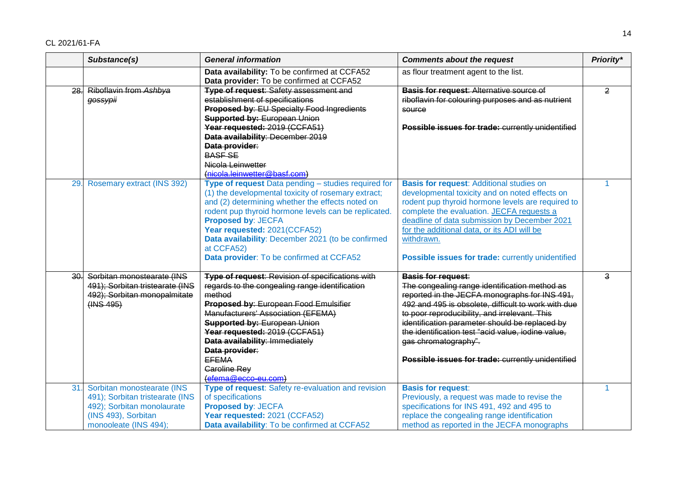|     | Substance(s)                                                                                                                                | <b>General information</b>                                                                                                                                                                                                                                                                                                                             | <b>Comments about the request</b>                                                                                                                                                                                                                                                                                                                                   | Priority*      |
|-----|---------------------------------------------------------------------------------------------------------------------------------------------|--------------------------------------------------------------------------------------------------------------------------------------------------------------------------------------------------------------------------------------------------------------------------------------------------------------------------------------------------------|---------------------------------------------------------------------------------------------------------------------------------------------------------------------------------------------------------------------------------------------------------------------------------------------------------------------------------------------------------------------|----------------|
|     |                                                                                                                                             | Data availability: To be confirmed at CCFA52<br>Data provider: To be confirmed at CCFA52                                                                                                                                                                                                                                                               | as flour treatment agent to the list.                                                                                                                                                                                                                                                                                                                               |                |
| 28. | Riboflavin from Ashbya<br>gossypii                                                                                                          | <b>Type of request: Safety assessment and</b><br>establishment of specifications<br>Proposed by: EU Specialty Food Ingredients<br><b>Supported by: European Union</b>                                                                                                                                                                                  | <b>Basis for request: Alternative source of</b><br>riboflavin for colouring purposes and as nutrient<br>source                                                                                                                                                                                                                                                      | $\overline{2}$ |
|     |                                                                                                                                             | Year requested: 2019 (CCFA51)<br>Data availability: December 2019<br>Data provider:<br><b>BASF SE</b><br>Nicola Leinwetter<br>(nicola.leinwetter@basf.com)                                                                                                                                                                                             | Possible issues for trade: currently unidentified                                                                                                                                                                                                                                                                                                                   |                |
| 29. | Rosemary extract (INS 392)                                                                                                                  | Type of request Data pending - studies required for<br>(1) the developmental toxicity of rosemary extract;<br>and (2) determining whether the effects noted on<br>rodent pup thyroid hormone levels can be replicated.<br><b>Proposed by: JECFA</b><br>Year requested: 2021(CCFA52)<br>Data availability: December 2021 (to be confirmed<br>at CCFA52) | <b>Basis for request: Additional studies on</b><br>developmental toxicity and on noted effects on<br>rodent pup thyroid hormone levels are required to<br>complete the evaluation. JECFA requests a<br>deadline of data submission by December 2021<br>for the additional data, or its ADI will be<br>withdrawn.                                                    |                |
|     |                                                                                                                                             | Data provider: To be confirmed at CCFA52                                                                                                                                                                                                                                                                                                               | Possible issues for trade: currently unidentified                                                                                                                                                                                                                                                                                                                   |                |
| 30. | Sorbitan monostearate (INS<br>491); Sorbitan tristearate (INS<br>492); Sorbitan monopalmitate<br>(HNS 495)                                  | Type of request: Revision of specifications with<br>regards to the congealing range identification<br>method<br>Proposed by: European Food Emulsifier<br>Manufacturers' Association (EFEMA)<br><b>Supported by: European Union</b><br>Year requested: 2019 (CCFA51)<br>Data availability: Immediately<br>Data provider:                                | <b>Basis for request:</b><br>The congealing range identification method as<br>reported in the JECFA monographs for INS 491,<br>492 and 495 is obsolete, difficult to work with due<br>to poor reproducibility, and irrelevant. This<br>identification parameter should be replaced by<br>the identification test "acid value, iodine value,<br>gas chromatography". | 3              |
|     |                                                                                                                                             | <b>EFEMA</b><br>Caroline Rey<br>(efema@ecco-eu.com)                                                                                                                                                                                                                                                                                                    | Possible issues for trade: currently unidentified                                                                                                                                                                                                                                                                                                                   |                |
| 31. | Sorbitan monostearate (INS<br>491); Sorbitan tristearate (INS<br>492); Sorbitan monolaurate<br>(INS 493), Sorbitan<br>monooleate (INS 494); | Type of request: Safety re-evaluation and revision<br>of specifications<br>Proposed by: JECFA<br>Year requested: 2021 (CCFA52)<br>Data availability: To be confirmed at CCFA52                                                                                                                                                                         | <b>Basis for request:</b><br>Previously, a request was made to revise the<br>specifications for INS 491, 492 and 495 to<br>replace the congealing range identification<br>method as reported in the JECFA monographs                                                                                                                                                | 1              |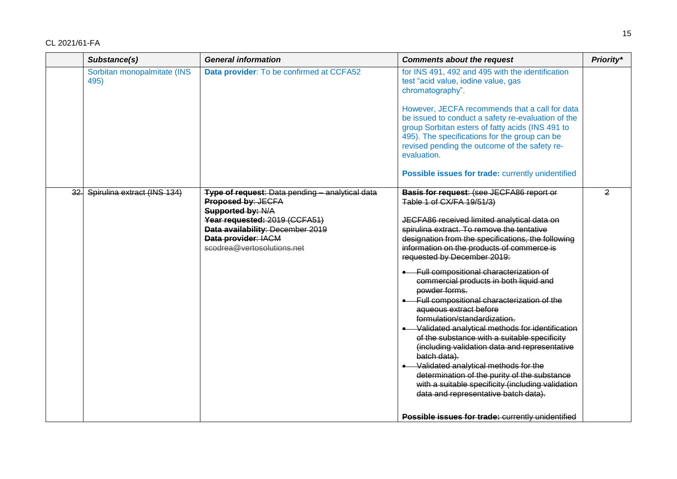|     | Substance(s)                        | <b>General information</b>                                                                                                                                                                                                  | <b>Comments about the request</b>                                                                                                                                                                                                                                                                                                                                                                                                                                                                                                                                                                                                                                                                                                                                                                                                                                                  | Priority*      |
|-----|-------------------------------------|-----------------------------------------------------------------------------------------------------------------------------------------------------------------------------------------------------------------------------|------------------------------------------------------------------------------------------------------------------------------------------------------------------------------------------------------------------------------------------------------------------------------------------------------------------------------------------------------------------------------------------------------------------------------------------------------------------------------------------------------------------------------------------------------------------------------------------------------------------------------------------------------------------------------------------------------------------------------------------------------------------------------------------------------------------------------------------------------------------------------------|----------------|
|     | Sorbitan monopalmitate (INS<br>495) | Data provider: To be confirmed at CCFA52                                                                                                                                                                                    | for INS 491, 492 and 495 with the identification<br>test "acid value, iodine value, gas<br>chromatography".<br>However, JECFA recommends that a call for data                                                                                                                                                                                                                                                                                                                                                                                                                                                                                                                                                                                                                                                                                                                      |                |
|     |                                     |                                                                                                                                                                                                                             | be issued to conduct a safety re-evaluation of the<br>group Sorbitan esters of fatty acids (INS 491 to<br>495). The specifications for the group can be<br>revised pending the outcome of the safety re-<br>evaluation.                                                                                                                                                                                                                                                                                                                                                                                                                                                                                                                                                                                                                                                            |                |
|     |                                     |                                                                                                                                                                                                                             | Possible issues for trade: currently unidentified                                                                                                                                                                                                                                                                                                                                                                                                                                                                                                                                                                                                                                                                                                                                                                                                                                  |                |
| 32. | Spirulina extract (INS 134)         | <b>Type of request: Data pending - analytical data</b><br>Proposed by: JECFA<br>Supported by: N/A<br>Year requested: 2019 (CCFA51)<br>Data availability: December 2019<br>Data provider: IACM<br>scodrea@vertosolutions.net | Basis for request: (see JECFA86 report or<br>Table 1 of CX/FA 19/51/3)<br>JECFA86 received limited analytical data on<br>spirulina extract. To remove the tentative<br>designation from the specifications, the following<br>information on the products of commerce is<br>requested by December 2019:<br>• Full compositional characterization of<br>commercial products in both liquid and<br>powder forms.<br>• Full compositional characterization of the<br>aqueous extract before<br>formulation/standardization.<br>Validated analytical methods for identification<br>of the substance with a suitable specificity<br>(including validation data and representative<br>batch data).<br>• Validated analytical methods for the<br>determination of the purity of the substance<br>with a suitable specificity (including validation<br>data and representative batch data). | $\overline{2}$ |
|     |                                     |                                                                                                                                                                                                                             | Possible issues for trade: currently unidentified                                                                                                                                                                                                                                                                                                                                                                                                                                                                                                                                                                                                                                                                                                                                                                                                                                  |                |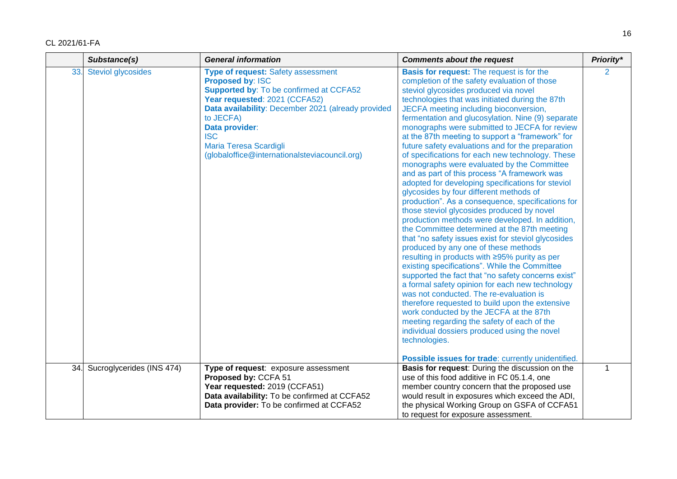|     | Substance(s)              | <b>General information</b><br><b>Comments about the request</b>                                                                                                                                                                                                                                                                |                                                                                                                                                                                                                                                                                                                                                                                                                                                                                                                                                                                                                                                                                                                                                                                                                                                                                                                                                                                                                                                                                                                                                                                                                                                                                                                                                                                                                                                                                                                                        | Priority*      |
|-----|---------------------------|--------------------------------------------------------------------------------------------------------------------------------------------------------------------------------------------------------------------------------------------------------------------------------------------------------------------------------|----------------------------------------------------------------------------------------------------------------------------------------------------------------------------------------------------------------------------------------------------------------------------------------------------------------------------------------------------------------------------------------------------------------------------------------------------------------------------------------------------------------------------------------------------------------------------------------------------------------------------------------------------------------------------------------------------------------------------------------------------------------------------------------------------------------------------------------------------------------------------------------------------------------------------------------------------------------------------------------------------------------------------------------------------------------------------------------------------------------------------------------------------------------------------------------------------------------------------------------------------------------------------------------------------------------------------------------------------------------------------------------------------------------------------------------------------------------------------------------------------------------------------------------|----------------|
| 33. | Steviol glycosides        | Type of request: Safety assessment<br><b>Proposed by: ISC</b><br><b>Supported by: To be confirmed at CCFA52</b><br>Year requested: 2021 (CCFA52)<br>Data availability: December 2021 (already provided<br>to JECFA)<br>Data provider:<br><b>ISC</b><br>Maria Teresa Scardigli<br>(globaloffice@internationalsteviacouncil.org) | <b>Basis for request:</b> The request is for the<br>completion of the safety evaluation of those<br>steviol glycosides produced via novel<br>technologies that was initiated during the 87th<br>JECFA meeting including bioconversion,<br>fermentation and glucosylation. Nine (9) separate<br>monographs were submitted to JECFA for review<br>at the 87th meeting to support a "framework" for<br>future safety evaluations and for the preparation<br>of specifications for each new technology. These<br>monographs were evaluated by the Committee<br>and as part of this process "A framework was<br>adopted for developing specifications for steviol<br>glycosides by four different methods of<br>production". As a consequence, specifications for<br>those steviol glycosides produced by novel<br>production methods were developed. In addition,<br>the Committee determined at the 87th meeting<br>that "no safety issues exist for steviol glycosides<br>produced by any one of these methods<br>resulting in products with ≥95% purity as per<br>existing specifications". While the Committee<br>supported the fact that "no safety concerns exist"<br>a formal safety opinion for each new technology<br>was not conducted. The re-evaluation is<br>therefore requested to build upon the extensive<br>work conducted by the JECFA at the 87th<br>meeting regarding the safety of each of the<br>individual dossiers produced using the novel<br>technologies.<br>Possible issues for trade: currently unidentified. | $\overline{2}$ |
| 34. | Sucroglycerides (INS 474) | Type of request: exposure assessment                                                                                                                                                                                                                                                                                           | Basis for request: During the discussion on the                                                                                                                                                                                                                                                                                                                                                                                                                                                                                                                                                                                                                                                                                                                                                                                                                                                                                                                                                                                                                                                                                                                                                                                                                                                                                                                                                                                                                                                                                        | 1              |
|     |                           | Proposed by: CCFA 51                                                                                                                                                                                                                                                                                                           | use of this food additive in FC 05.1.4, one                                                                                                                                                                                                                                                                                                                                                                                                                                                                                                                                                                                                                                                                                                                                                                                                                                                                                                                                                                                                                                                                                                                                                                                                                                                                                                                                                                                                                                                                                            |                |
|     |                           | Year requested: 2019 (CCFA51)                                                                                                                                                                                                                                                                                                  | member country concern that the proposed use                                                                                                                                                                                                                                                                                                                                                                                                                                                                                                                                                                                                                                                                                                                                                                                                                                                                                                                                                                                                                                                                                                                                                                                                                                                                                                                                                                                                                                                                                           |                |
|     |                           | Data availability: To be confirmed at CCFA52                                                                                                                                                                                                                                                                                   | would result in exposures which exceed the ADI,                                                                                                                                                                                                                                                                                                                                                                                                                                                                                                                                                                                                                                                                                                                                                                                                                                                                                                                                                                                                                                                                                                                                                                                                                                                                                                                                                                                                                                                                                        |                |
|     |                           | Data provider: To be confirmed at CCFA52                                                                                                                                                                                                                                                                                       | the physical Working Group on GSFA of CCFA51                                                                                                                                                                                                                                                                                                                                                                                                                                                                                                                                                                                                                                                                                                                                                                                                                                                                                                                                                                                                                                                                                                                                                                                                                                                                                                                                                                                                                                                                                           |                |
|     |                           |                                                                                                                                                                                                                                                                                                                                | to request for exposure assessment.                                                                                                                                                                                                                                                                                                                                                                                                                                                                                                                                                                                                                                                                                                                                                                                                                                                                                                                                                                                                                                                                                                                                                                                                                                                                                                                                                                                                                                                                                                    |                |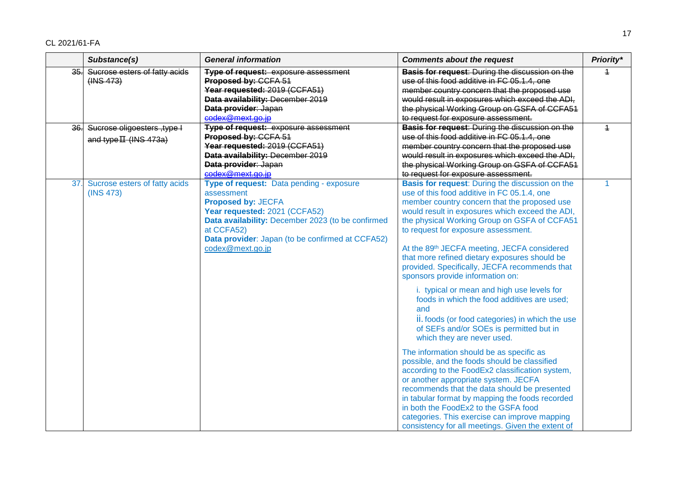| Substance(s)                                                              | <b>General information</b>                                                                                                                                                                                                                                      | <b>Comments about the request</b>                                                                                                                                                                                                                                                                                                                                                                                                                                                                                                                                                                                                                                                                                                                                                                                                                                                                                                                                                                                                                                                                                                                            | Priority*      |
|---------------------------------------------------------------------------|-----------------------------------------------------------------------------------------------------------------------------------------------------------------------------------------------------------------------------------------------------------------|--------------------------------------------------------------------------------------------------------------------------------------------------------------------------------------------------------------------------------------------------------------------------------------------------------------------------------------------------------------------------------------------------------------------------------------------------------------------------------------------------------------------------------------------------------------------------------------------------------------------------------------------------------------------------------------------------------------------------------------------------------------------------------------------------------------------------------------------------------------------------------------------------------------------------------------------------------------------------------------------------------------------------------------------------------------------------------------------------------------------------------------------------------------|----------------|
| Sucrose esters of fatty acids<br>35.<br>(HNS 473)                         | Type of request: exposure assessment<br>Proposed by: CCFA 51<br>Year requested: 2019 (CCFA51)<br>Data availability: December 2019<br>Data provider: Japan<br>codex@mext.go.jp                                                                                   | Basis for request: During the discussion on the<br>use of this food additive in FC 05.1.4, one<br>member country concern that the proposed use<br>would result in exposures which exceed the ADI,<br>the physical Working Group on GSFA of CCFA51<br>to request for exposure assessment.                                                                                                                                                                                                                                                                                                                                                                                                                                                                                                                                                                                                                                                                                                                                                                                                                                                                     | $\overline{1}$ |
| Sucrose oligoesters, type I<br>36 <sub>1</sub><br>and type $H$ (INS 473a) | <b>Type of request:</b> exposure assessment<br>Proposed by: CCFA 51<br>Year requested: 2019 (CCFA51)<br>Data availability: December 2019<br>Data provider: Japan<br>codex@mext.go.jp                                                                            | <b>Basis for request: During the discussion on the</b><br>use of this food additive in FC 05.1.4, one<br>member country concern that the proposed use<br>would result in exposures which exceed the ADI,<br>the physical Working Group on GSFA of CCFA51<br>to request for exposure assessment.                                                                                                                                                                                                                                                                                                                                                                                                                                                                                                                                                                                                                                                                                                                                                                                                                                                              | $\overline{1}$ |
| Sucrose esters of fatty acids<br>37.<br>(INS 473)                         | Type of request: Data pending - exposure<br>assessment<br><b>Proposed by: JECFA</b><br>Year requested: 2021 (CCFA52)<br>Data availability: December 2023 (to be confirmed<br>at CCFA52)<br>Data provider: Japan (to be confirmed at CCFA52)<br>codex@mext.go.jp | <b>Basis for request:</b> During the discussion on the<br>use of this food additive in FC 05.1.4, one<br>member country concern that the proposed use<br>would result in exposures which exceed the ADI,<br>the physical Working Group on GSFA of CCFA51<br>to request for exposure assessment.<br>At the 89th JECFA meeting, JECFA considered<br>that more refined dietary exposures should be<br>provided. Specifically, JECFA recommends that<br>sponsors provide information on:<br>i. typical or mean and high use levels for<br>foods in which the food additives are used;<br>and<br>ii. foods (or food categories) in which the use<br>of SEFs and/or SOEs is permitted but in<br>which they are never used.<br>The information should be as specific as<br>possible, and the foods should be classified<br>according to the FoodEx2 classification system,<br>or another appropriate system. JECFA<br>recommends that the data should be presented<br>in tabular format by mapping the foods recorded<br>in both the FoodEx2 to the GSFA food<br>categories. This exercise can improve mapping<br>consistency for all meetings. Given the extent of | 1              |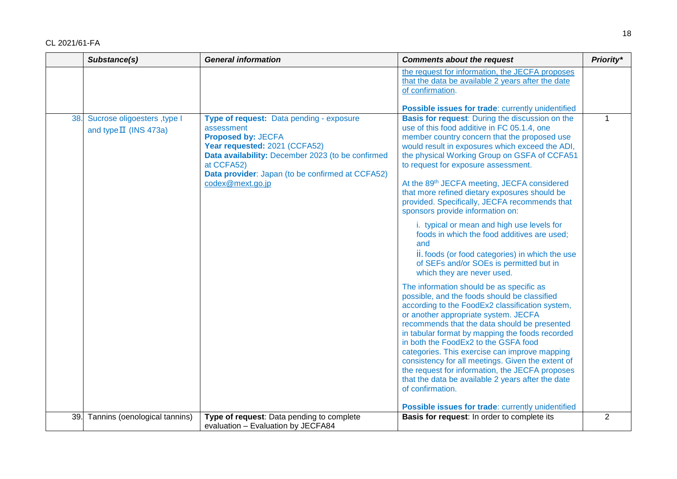|     | Substance(s)                                             | <b>General information</b>                                                                                                                                                                                                                                      | <b>Comments about the request</b>                                                                                                                                                                                                                                                                                                                                                                                                                                                                                                                                                                                                                                                                                                                                                                                                                                                                                                                                                                                                                                                                                                                                                                                                                                                 | Priority*      |
|-----|----------------------------------------------------------|-----------------------------------------------------------------------------------------------------------------------------------------------------------------------------------------------------------------------------------------------------------------|-----------------------------------------------------------------------------------------------------------------------------------------------------------------------------------------------------------------------------------------------------------------------------------------------------------------------------------------------------------------------------------------------------------------------------------------------------------------------------------------------------------------------------------------------------------------------------------------------------------------------------------------------------------------------------------------------------------------------------------------------------------------------------------------------------------------------------------------------------------------------------------------------------------------------------------------------------------------------------------------------------------------------------------------------------------------------------------------------------------------------------------------------------------------------------------------------------------------------------------------------------------------------------------|----------------|
|     |                                                          |                                                                                                                                                                                                                                                                 | the request for information, the JECFA proposes<br>that the data be available 2 years after the date<br>of confirmation.                                                                                                                                                                                                                                                                                                                                                                                                                                                                                                                                                                                                                                                                                                                                                                                                                                                                                                                                                                                                                                                                                                                                                          |                |
|     |                                                          |                                                                                                                                                                                                                                                                 | <b>Possible issues for trade: currently unidentified</b>                                                                                                                                                                                                                                                                                                                                                                                                                                                                                                                                                                                                                                                                                                                                                                                                                                                                                                                                                                                                                                                                                                                                                                                                                          |                |
| 38. | Sucrose oligoesters, type I<br>and type $\Pi$ (INS 473a) | Type of request: Data pending - exposure<br>assessment<br><b>Proposed by: JECFA</b><br>Year requested: 2021 (CCFA52)<br>Data availability: December 2023 (to be confirmed<br>at CCFA52)<br>Data provider: Japan (to be confirmed at CCFA52)<br>codex@mext.go.jp | Basis for request: During the discussion on the<br>use of this food additive in FC 05.1.4, one<br>member country concern that the proposed use<br>would result in exposures which exceed the ADI,<br>the physical Working Group on GSFA of CCFA51<br>to request for exposure assessment.<br>At the 89th JECFA meeting, JECFA considered<br>that more refined dietary exposures should be<br>provided. Specifically, JECFA recommends that<br>sponsors provide information on:<br>i. typical or mean and high use levels for<br>foods in which the food additives are used;<br>and<br>ii. foods (or food categories) in which the use<br>of SEFs and/or SOEs is permitted but in<br>which they are never used.<br>The information should be as specific as<br>possible, and the foods should be classified<br>according to the FoodEx2 classification system,<br>or another appropriate system. JECFA<br>recommends that the data should be presented<br>in tabular format by mapping the foods recorded<br>in both the FoodEx2 to the GSFA food<br>categories. This exercise can improve mapping<br>consistency for all meetings. Given the extent of<br>the request for information, the JECFA proposes<br>that the data be available 2 years after the date<br>of confirmation. | $\mathbf{1}$   |
|     |                                                          |                                                                                                                                                                                                                                                                 | Possible issues for trade: currently unidentified                                                                                                                                                                                                                                                                                                                                                                                                                                                                                                                                                                                                                                                                                                                                                                                                                                                                                                                                                                                                                                                                                                                                                                                                                                 |                |
| 39. | Tannins (oenological tannins)                            | Type of request: Data pending to complete<br>evaluation - Evaluation by JECFA84                                                                                                                                                                                 | Basis for request: In order to complete its                                                                                                                                                                                                                                                                                                                                                                                                                                                                                                                                                                                                                                                                                                                                                                                                                                                                                                                                                                                                                                                                                                                                                                                                                                       | $\overline{2}$ |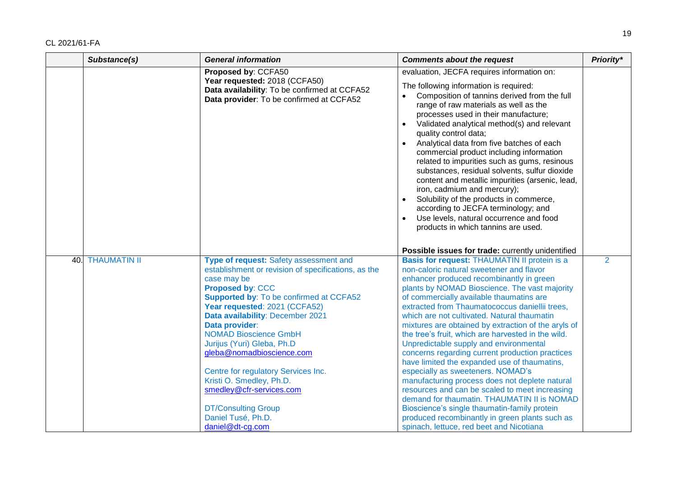| <b>General information</b>                                                                                                                                                                                                                                                                                                                                                                                                                                                                                                     | <b>Comments about the request</b>                                                                                                                                                                                                                                                                                                                                                                                                                                                                                                                                                                                                                                                                                                                                                                                                                                                      | Priority*                                                                                     |
|--------------------------------------------------------------------------------------------------------------------------------------------------------------------------------------------------------------------------------------------------------------------------------------------------------------------------------------------------------------------------------------------------------------------------------------------------------------------------------------------------------------------------------|----------------------------------------------------------------------------------------------------------------------------------------------------------------------------------------------------------------------------------------------------------------------------------------------------------------------------------------------------------------------------------------------------------------------------------------------------------------------------------------------------------------------------------------------------------------------------------------------------------------------------------------------------------------------------------------------------------------------------------------------------------------------------------------------------------------------------------------------------------------------------------------|-----------------------------------------------------------------------------------------------|
| Proposed by: CCFA50                                                                                                                                                                                                                                                                                                                                                                                                                                                                                                            | evaluation, JECFA requires information on:                                                                                                                                                                                                                                                                                                                                                                                                                                                                                                                                                                                                                                                                                                                                                                                                                                             |                                                                                               |
| Year requested: 2018 (CCFA50)<br>Data availability: To be confirmed at CCFA52<br>Data provider: To be confirmed at CCFA52                                                                                                                                                                                                                                                                                                                                                                                                      | The following information is required:<br>Composition of tannins derived from the full<br>$\bullet$<br>range of raw materials as well as the<br>processes used in their manufacture;<br>Validated analytical method(s) and relevant<br>$\bullet$<br>quality control data;<br>Analytical data from five batches of each<br>commercial product including information<br>related to impurities such as gums, resinous<br>substances, residual solvents, sulfur dioxide<br>content and metallic impurities (arsenic, lead,<br>iron, cadmium and mercury);<br>Solubility of the products in commerce,<br>according to JECFA terminology; and<br>Use levels, natural occurrence and food<br>products in which tannins are used.                                                                                                                                                              |                                                                                               |
|                                                                                                                                                                                                                                                                                                                                                                                                                                                                                                                                |                                                                                                                                                                                                                                                                                                                                                                                                                                                                                                                                                                                                                                                                                                                                                                                                                                                                                        |                                                                                               |
| Type of request: Safety assessment and<br>establishment or revision of specifications, as the<br>case may be<br><b>Proposed by: CCC</b><br><b>Supported by: To be confirmed at CCFA52</b><br>Year requested: 2021 (CCFA52)<br>Data availability: December 2021<br>Data provider:<br><b>NOMAD Bioscience GmbH</b><br>Jurijus (Yuri) Gleba, Ph.D<br>gleba@nomadbioscience.com<br>Centre for regulatory Services Inc.<br>Kristi O. Smedley, Ph.D.<br>smedley@cfr-services.com<br><b>DT/Consulting Group</b><br>Daniel Tusé, Ph.D. | Basis for request: THAUMATIN II protein is a<br>non-caloric natural sweetener and flavor<br>enhancer produced recombinantly in green<br>plants by NOMAD Bioscience. The vast majority<br>of commercially available thaumatins are<br>extracted from Thaumatococcus daniellii trees,<br>which are not cultivated. Natural thaumatin<br>mixtures are obtained by extraction of the aryls of<br>the tree's fruit, which are harvested in the wild.<br>Unpredictable supply and environmental<br>concerns regarding current production practices<br>have limited the expanded use of thaumatins,<br>especially as sweeteners. NOMAD's<br>manufacturing process does not deplete natural<br>resources and can be scaled to meet increasing<br>demand for thaumatin. THAUMATIN II is NOMAD<br>Bioscience's single thaumatin-family protein<br>produced recombinantly in green plants such as | $\overline{2}$                                                                                |
| <b>THAUMATIN II</b>                                                                                                                                                                                                                                                                                                                                                                                                                                                                                                            | daniel@dt-cg.com                                                                                                                                                                                                                                                                                                                                                                                                                                                                                                                                                                                                                                                                                                                                                                                                                                                                       | Possible issues for trade: currently unidentified<br>spinach, lettuce, red beet and Nicotiana |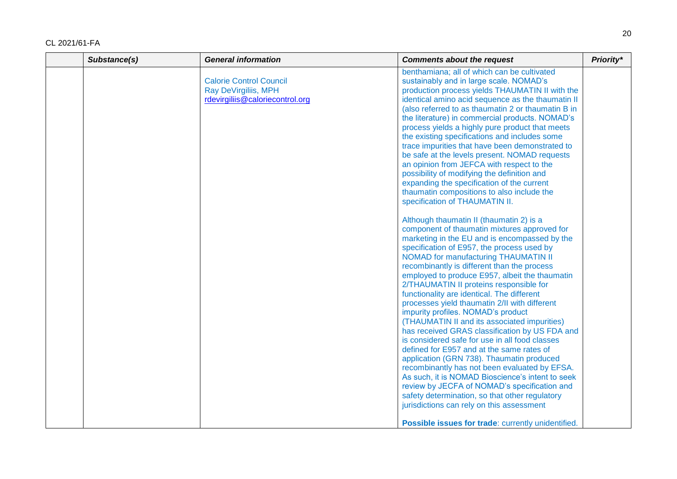| Substance(s) | <b>General information</b>                                                                | <b>Comments about the request</b>                                                                                                                                                                                                                                                                                                                                                                                                                                                                                                                                                                                                                                                                                                                                                                                                                                                                                                                                                                                                                                        | Priority* |
|--------------|-------------------------------------------------------------------------------------------|--------------------------------------------------------------------------------------------------------------------------------------------------------------------------------------------------------------------------------------------------------------------------------------------------------------------------------------------------------------------------------------------------------------------------------------------------------------------------------------------------------------------------------------------------------------------------------------------------------------------------------------------------------------------------------------------------------------------------------------------------------------------------------------------------------------------------------------------------------------------------------------------------------------------------------------------------------------------------------------------------------------------------------------------------------------------------|-----------|
|              | <b>Calorie Control Council</b><br>Ray DeVirgiliis, MPH<br>rdevirgiliis@caloriecontrol.org | benthamiana; all of which can be cultivated<br>sustainably and in large scale. NOMAD's<br>production process yields THAUMATIN II with the<br>identical amino acid sequence as the thaumatin II<br>(also referred to as thaumatin 2 or thaumatin B in<br>the literature) in commercial products. NOMAD's<br>process yields a highly pure product that meets<br>the existing specifications and includes some<br>trace impurities that have been demonstrated to<br>be safe at the levels present. NOMAD requests<br>an opinion from JEFCA with respect to the<br>possibility of modifying the definition and<br>expanding the specification of the current<br>thaumatin compositions to also include the<br>specification of THAUMATIN II.                                                                                                                                                                                                                                                                                                                                |           |
|              |                                                                                           | Although thaumatin II (thaumatin 2) is a<br>component of thaumatin mixtures approved for<br>marketing in the EU and is encompassed by the<br>specification of E957, the process used by<br>NOMAD for manufacturing THAUMATIN II<br>recombinantly is different than the process<br>employed to produce E957, albeit the thaumatin<br>2/THAUMATIN II proteins responsible for<br>functionality are identical. The different<br>processes yield thaumatin 2/II with different<br>impurity profiles. NOMAD's product<br>(THAUMATIN II and its associated impurities)<br>has received GRAS classification by US FDA and<br>is considered safe for use in all food classes<br>defined for E957 and at the same rates of<br>application (GRN 738). Thaumatin produced<br>recombinantly has not been evaluated by EFSA.<br>As such, it is NOMAD Bioscience's intent to seek<br>review by JECFA of NOMAD's specification and<br>safety determination, so that other regulatory<br>jurisdictions can rely on this assessment<br>Possible issues for trade: currently unidentified. |           |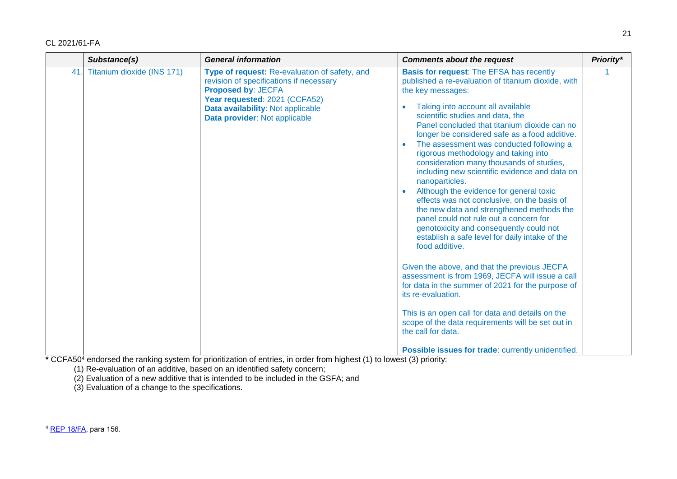|     | Substance(s)               | <b>General information</b>                                                                                                                                                                                                   | <b>Comments about the request</b>                                                                                                                                                                                                                                                                                                                                                                                                                                                                                                                                                                                                                                                                                                                                                                                                                                                                                                                                                                                                                                                                                                                                            |  |  |
|-----|----------------------------|------------------------------------------------------------------------------------------------------------------------------------------------------------------------------------------------------------------------------|------------------------------------------------------------------------------------------------------------------------------------------------------------------------------------------------------------------------------------------------------------------------------------------------------------------------------------------------------------------------------------------------------------------------------------------------------------------------------------------------------------------------------------------------------------------------------------------------------------------------------------------------------------------------------------------------------------------------------------------------------------------------------------------------------------------------------------------------------------------------------------------------------------------------------------------------------------------------------------------------------------------------------------------------------------------------------------------------------------------------------------------------------------------------------|--|--|
| 41. | Titanium dioxide (INS 171) | Type of request: Re-evaluation of safety, and<br>revision of specifications if necessary<br><b>Proposed by: JECFA</b><br>Year requested: 2021 (CCFA52)<br>Data availability: Not applicable<br>Data provider: Not applicable | <b>Basis for request: The EFSA has recently</b><br>published a re-evaluation of titanium dioxide, with<br>the key messages:<br>Taking into account all available<br>scientific studies and data, the<br>Panel concluded that titanium dioxide can no<br>longer be considered safe as a food additive.<br>The assessment was conducted following a<br>rigorous methodology and taking into<br>consideration many thousands of studies,<br>including new scientific evidence and data on<br>nanoparticles.<br>Although the evidence for general toxic<br>effects was not conclusive, on the basis of<br>the new data and strengthened methods the<br>panel could not rule out a concern for<br>genotoxicity and consequently could not<br>establish a safe level for daily intake of the<br>food additive.<br>Given the above, and that the previous JECFA<br>assessment is from 1969, JECFA will issue a call<br>for data in the summer of 2021 for the purpose of<br>its re-evaluation.<br>This is an open call for data and details on the<br>scope of the data requirements will be set out in<br>the call for data.<br>Possible issues for trade: currently unidentified. |  |  |

**\*** CCFA50<sup>4</sup> endorsed the ranking system for prioritization of entries, in order from highest (1) to lowest (3) priority:

(1) Re-evaluation of an additive, based on an identified safety concern;

(2) Evaluation of a new additive that is intended to be included in the GSFA; and

(3) Evaluation of a change to the specifications.

l

<sup>4</sup> [REP 18/FA,](http://www.fao.org/fao-who-codexalimentarius/sh-proxy/pt/?lnk=1&url=https%253A%252F%252Fworkspace.fao.org%252Fsites%252Fcodex%252FMeetings%252FCX-711-50%252FReport%252FREP18_FAe.pdf) para 156.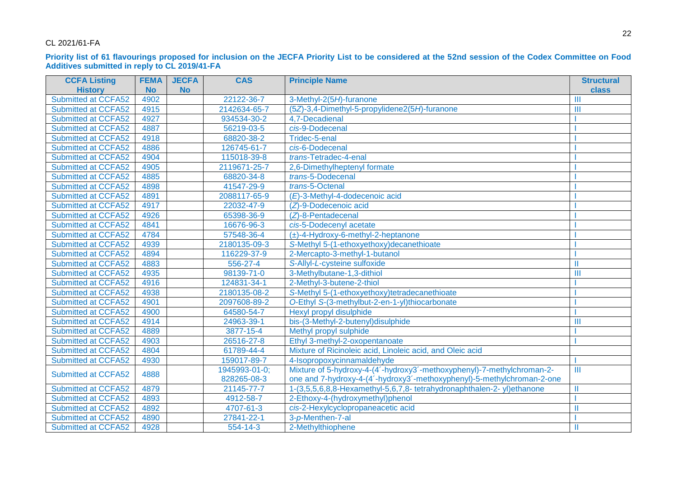#### **Priority list of 61 flavourings proposed for inclusion on the JECFA Priority List to be considered at the 52nd session of the Codex Committee on Food Additives submitted in reply to CL 2019/41-FA**

| <b>CCFA Listing</b>        | <b>FEMA</b> | <b>JECFA</b> | <b>CAS</b>    | <b>Principle Name</b>                                                  | <b>Structural</b> |
|----------------------------|-------------|--------------|---------------|------------------------------------------------------------------------|-------------------|
| <b>History</b>             | <b>No</b>   | <b>No</b>    |               |                                                                        | class             |
| <b>Submitted at CCFA52</b> | 4902        |              | 22122-36-7    | 3-Methyl-2(5H)-furanone                                                | $\mathbf{III}$    |
| Submitted at CCFA52        | 4915        |              | 2142634-65-7  | (5Z)-3,4-Dimethyl-5-propylidene2(5H)-furanone                          | $\mathbf{III}$    |
| Submitted at CCFA52        | 4927        |              | 934534-30-2   | 4,7-Decadienal                                                         |                   |
| Submitted at CCFA52        | 4887        |              | 56219-03-5    | cis-9-Dodecenal                                                        |                   |
| <b>Submitted at CCFA52</b> | 4918        |              | 68820-38-2    | Tridec-5-enal                                                          |                   |
| Submitted at CCFA52        | 4886        |              | 126745-61-7   | cis-6-Dodecenal                                                        |                   |
| Submitted at CCFA52        | 4904        |              | 115018-39-8   | trans-Tetradec-4-enal                                                  |                   |
| Submitted at CCFA52        | 4905        |              | 2119671-25-7  | 2,6-Dimethylheptenyl formate                                           |                   |
| Submitted at CCFA52        | 4885        |              | 68820-34-8    | trans-5-Dodecenal                                                      |                   |
| Submitted at CCFA52        | 4898        |              | 41547-29-9    | trans-5-Octenal                                                        |                   |
| Submitted at CCFA52        | 4891        |              | 2088117-65-9  | (E)-3-Methyl-4-dodecenoic acid                                         |                   |
| Submitted at CCFA52        | 4917        |              | 22032-47-9    | (Z)-9-Dodecenoic acid                                                  |                   |
| Submitted at CCFA52        | 4926        |              | 65398-36-9    | $(Z)$ -8-Pentadecenal                                                  |                   |
| Submitted at CCFA52        | 4841        |              | 16676-96-3    | cis-5-Dodecenyl acetate                                                |                   |
| Submitted at CCFA52        | 4784        |              | 57548-36-4    | $(\pm)$ -4-Hydroxy-6-methyl-2-heptanone                                |                   |
| Submitted at CCFA52        | 4939        |              | 2180135-09-3  | S-Methyl 5-(1-ethoxyethoxy)decanethioate                               |                   |
| Submitted at CCFA52        | 4894        |              | 116229-37-9   | 2-Mercapto-3-methyl-1-butanol                                          |                   |
| Submitted at CCFA52        | 4883        |              | 556-27-4      | S-Allyl-L-cysteine sulfoxide                                           | Ш                 |
| Submitted at CCFA52        | 4935        |              | 98139-71-0    | 3-Methylbutane-1,3-dithiol                                             | Ш                 |
| Submitted at CCFA52        | 4916        |              | 124831-34-1   | 2-Methyl-3-butene-2-thiol                                              |                   |
| Submitted at CCFA52        | 4938        |              | 2180135-08-2  | S-Methyl 5-(1-ethoxyethoxy)tetradecanethioate                          |                   |
| Submitted at CCFA52        | 4901        |              | 2097608-89-2  | O-Ethyl S-(3-methylbut-2-en-1-yl)thiocarbonate                         |                   |
| Submitted at CCFA52        | 4900        |              | 64580-54-7    | Hexyl propyl disulphide                                                |                   |
| Submitted at CCFA52        | 4914        |              | 24963-39-1    | bis-(3-Methyl-2-butenyl)disulphide                                     | Ш                 |
| Submitted at CCFA52        | 4889        |              | 3877-15-4     | Methyl propyl sulphide                                                 |                   |
| Submitted at CCFA52        | 4903        |              | 26516-27-8    | Ethyl 3-methyl-2-oxopentanoate                                         |                   |
| Submitted at CCFA52        | 4804        |              | 61789-44-4    | Mixture of Ricinoleic acid, Linoleic acid, and Oleic acid              |                   |
| Submitted at CCFA52        | 4930        |              | 159017-89-7   | 4-Isopropoxycinnamaldehyde                                             |                   |
| Submitted at CCFA52        | 4888        |              | 1945993-01-0; | Mixture of 5-hydroxy-4-(4'-hydroxy3'-methoxyphenyl)-7-methylchroman-2- | $\mathbf{III}$    |
|                            |             |              | 828265-08-3   | one and 7-hydroxy-4-(4'-hydroxy3'-methoxyphenyl)-5-methylchroman-2-one |                   |
| <b>Submitted at CCFA52</b> | 4879        |              | 21145-77-7    | 1-(3,5,5,6,8,8-Hexamethyl-5,6,7,8- tetrahydronaphthalen-2-yl)ethanone  | $\mathbf{II}$     |
| Submitted at CCFA52        | 4893        |              | 4912-58-7     | 2-Ethoxy-4-(hydroxymethyl)phenol                                       |                   |
| Submitted at CCFA52        | 4892        |              | 4707-61-3     | cis-2-Hexylcyclopropaneacetic acid                                     | $\mathbf{I}$      |
| Submitted at CCFA52        | 4890        |              | 27841-22-1    | 3-p-Menthen-7-al                                                       |                   |
| Submitted at CCFA52        | 4928        |              | 554-14-3      | 2-Methylthiophene                                                      | Ш                 |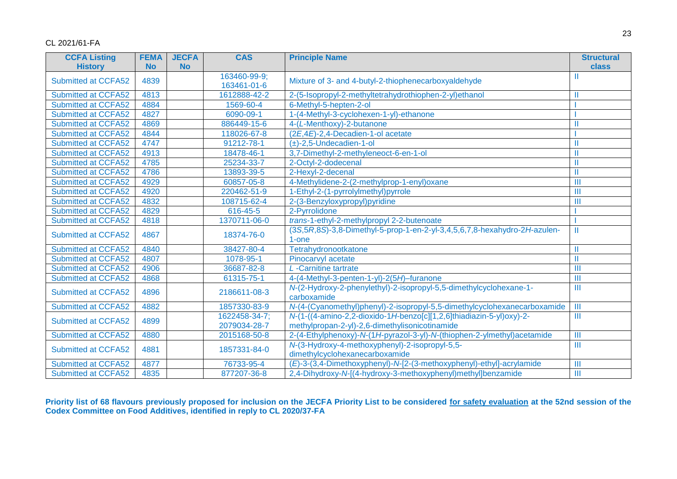| <b>CCFA Listing</b>        | <b>FEMA</b> | <b>JECFA</b> | <b>CAS</b>     | <b>Principle Name</b>                                                             | <b>Structural</b>       |
|----------------------------|-------------|--------------|----------------|-----------------------------------------------------------------------------------|-------------------------|
| <b>History</b>             | <b>No</b>   | <b>No</b>    |                |                                                                                   | class                   |
| <b>Submitted at CCFA52</b> | 4839        |              | 163460-99-9;   | Mixture of 3- and 4-butyl-2-thiophenecarboxyaldehyde                              |                         |
|                            |             |              | 163461-01-6    |                                                                                   |                         |
| Submitted at CCFA52        | 4813        |              | 1612888-42-2   | 2-(5-Isopropyl-2-methyltetrahydrothiophen-2-yl)ethanol                            |                         |
| <b>Submitted at CCFA52</b> | 4884        |              | 1569-60-4      | 6-Methyl-5-hepten-2-ol                                                            |                         |
| <b>Submitted at CCFA52</b> | 4827        |              | 6090-09-1      | 1-(4-Methyl-3-cyclohexen-1-yl)-ethanone                                           |                         |
| Submitted at CCFA52        | 4869        |              | 886449-15-6    | 4-(L-Menthoxy)-2-butanone                                                         |                         |
| <b>Submitted at CCFA52</b> | 4844        |              | 118026-67-8    | (2E,4E)-2,4-Decadien-1-ol acetate                                                 |                         |
| Submitted at CCFA52        | 4747        |              | 91212-78-1     | $(\pm)$ -2,5-Undecadien-1-ol                                                      |                         |
| <b>Submitted at CCFA52</b> | 4913        |              | 18478-46-1     | 3,7-Dimethyl-2-methyleneoct-6-en-1-ol                                             |                         |
| Submitted at CCFA52        | 4785        |              | 25234-33-7     | 2-Octyl-2-dodecenal                                                               |                         |
| <b>Submitted at CCFA52</b> | 4786        |              | 13893-39-5     | 2-Hexyl-2-decenal                                                                 | Ш                       |
| Submitted at CCFA52        | 4929        |              | 60857-05-8     | 4-Methylidene-2-(2-methylprop-1-enyl)oxane                                        | $\mathbf{III}$          |
| <b>Submitted at CCFA52</b> | 4920        |              | 220462-51-9    | 1-Ethyl-2-(1-pyrrolylmethyl)pyrrole                                               | Ш                       |
| <b>Submitted at CCFA52</b> | 4832        |              | 108715-62-4    | 2-(3-Benzyloxypropyl)pyridine                                                     | Ш                       |
| Submitted at CCFA52        | 4829        |              | $616 - 45 - 5$ | 2-Pyrrolidone                                                                     |                         |
| Submitted at CCFA52        | 4818        |              | 1370711-06-0   | trans-1-ethyl-2-methylpropyl 2-2-butenoate                                        |                         |
| Submitted at CCFA52        | 4867        |              | 18374-76-0     | (3S, 5R, 8S)-3, 8-Dimethyl-5-prop-1-en-2-yl-3, 4, 5, 6, 7, 8-hexahydro-2H-azulen- | Ш                       |
|                            |             |              |                | $1$ -one                                                                          |                         |
| <b>Submitted at CCFA52</b> | 4840        |              | 38427-80-4     | Tetrahydronootkatone                                                              | Ш                       |
| Submitted at CCFA52        | 4807        |              | 1078-95-1      | Pinocarvyl acetate                                                                | Ш                       |
| Submitted at CCFA52        | 4906        |              | 36687-82-8     | L-Carnitine tartrate                                                              | $\mathbf{III}$          |
| Submitted at CCFA52        | 4868        |              | 61315-75-1     | 4-(4-Methyl-3-penten-1-yl)-2(5H)-furanone                                         | $\mathbf{III}$          |
|                            | 4896        |              |                | N-(2-Hydroxy-2-phenylethyl)-2-isopropyl-5,5-dimethylcyclohexane-1-                | $\mathbf{III}$          |
| Submitted at CCFA52        |             |              | 2186611-08-3   | carboxamide                                                                       |                         |
| Submitted at CCFA52        | 4882        |              | 1857330-83-9   | N-(4-(Cyanomethyl)phenyl)-2-isopropyl-5,5-dimethylcyclohexanecarboxamide          | $\mathbf{III}$          |
| <b>Submitted at CCFA52</b> | 4899        |              | 1622458-34-7;  | N-(1-((4-amino-2,2-dioxido-1H-benzo[c][1,2,6]thiadiazin-5-yl)oxy)-2-              | $\overline{\mathbb{I}}$ |
|                            |             |              | 2079034-28-7   | methylpropan-2-yl)-2,6-dimethylisonicotinamide                                    |                         |
| Submitted at CCFA52        | 4880        |              | 2015168-50-8   | 2-(4-Ethylphenoxy)-N-(1H-pyrazol-3-yl)-N-(thiophen-2-ylmethyl)acetamide           | Ш                       |
| Submitted at CCFA52        | 4881        |              | 1857331-84-0   | N-(3-Hydroxy-4-methoxyphenyl)-2-isopropyl-5,5-                                    | III                     |
|                            |             |              |                | dimethylcyclohexanecarboxamide                                                    |                         |
| Submitted at CCFA52        | 4877        |              | 76733-95-4     | (E)-3-(3,4-Dimethoxyphenyl)-N-[2-(3-methoxyphenyl)-ethyl]-acrylamide              | III                     |
| <b>Submitted at CCFA52</b> | 4835        |              | 877207-36-8    | 2,4-Dihydroxy-N-[(4-hydroxy-3-methoxyphenyl)methyl]benzamide<br>$\mathbf{III}$    |                         |

**Priority list of 68 flavours previously proposed for inclusion on the JECFA Priority List to be considered for safety evaluation at the 52nd session of the Codex Committee on Food Additives, identified in reply to CL 2020/37-FA**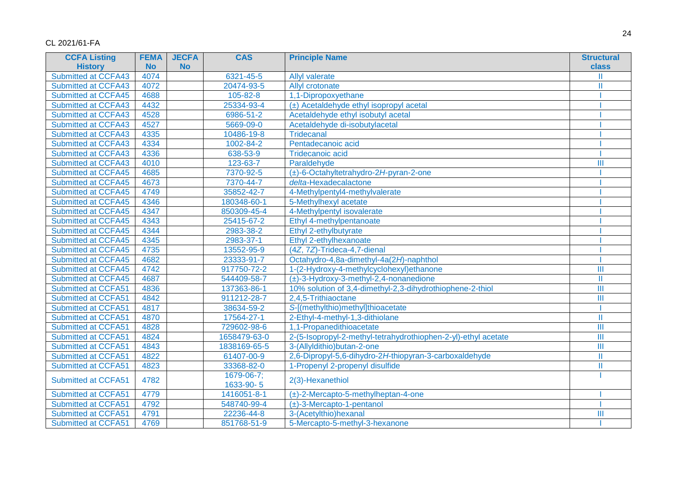| <b>CCFA Listing</b>        | <b>FEMA</b> | <b>JECFA</b> | <b>CAS</b>              | <b>Principle Name</b><br><b>Structural</b>                     |              |
|----------------------------|-------------|--------------|-------------------------|----------------------------------------------------------------|--------------|
| <b>History</b>             | <b>No</b>   | <b>No</b>    |                         |                                                                | class        |
| <b>Submitted at CCFA43</b> | 4074        |              | 6321-45-5               | <b>Allyl valerate</b>                                          |              |
| Submitted at CCFA43        | 4072        |              | 20474-93-5              | Allyl crotonate                                                | Ш            |
| Submitted at CCFA45        | 4688        |              | 105-82-8                | 1,1-Dipropoxyethane                                            |              |
| Submitted at CCFA43        | 4432        |              | 25334-93-4              | (±) Acetaldehyde ethyl isopropyl acetal                        |              |
| <b>Submitted at CCFA43</b> | 4528        |              | 6986-51-2               | Acetaldehyde ethyl isobutyl acetal                             |              |
| <b>Submitted at CCFA43</b> | 4527        |              | 5669-09-0               | Acetaldehyde di-isobutylacetal                                 |              |
| Submitted at CCFA43        | 4335        |              | 10486-19-8              | Tridecanal                                                     |              |
| <b>Submitted at CCFA43</b> | 4334        |              | 1002-84-2               | Pentadecanoic acid                                             |              |
| Submitted at CCFA43        | 4336        |              | 638-53-9                | <b>Tridecanoic acid</b>                                        |              |
| <b>Submitted at CCFA43</b> | 4010        |              | 123-63-7                | Paraldehyde                                                    | Ш            |
| Submitted at CCFA45        | 4685        |              | 7370-92-5               | $(\pm)$ -6-Octahyltetrahydro-2H-pyran-2-one                    |              |
| <b>Submitted at CCFA45</b> | 4673        |              | 7370-44-7               | delta-Hexadecalactone                                          |              |
| <b>Submitted at CCFA45</b> | 4749        |              | 35852-42-7              | 4-Methylpentyl4-methylvalerate                                 |              |
| <b>Submitted at CCFA45</b> | 4346        |              | 180348-60-1             | 5-Methylhexyl acetate                                          |              |
| <b>Submitted at CCFA45</b> | 4347        |              | 850309-45-4             | 4-Methylpentyl isovalerate                                     |              |
| Submitted at CCFA45        | 4343        |              | 25415-67-2              | Ethyl 4-methylpentanoate                                       |              |
| Submitted at CCFA45        | 4344        |              | 2983-38-2               | Ethyl 2-ethylbutyrate                                          |              |
| <b>Submitted at CCFA45</b> | 4345        |              | 2983-37-1               | Ethyl 2-ethylhexanoate                                         |              |
| Submitted at CCFA45        | 4735        |              | 13552-95-9              | (4Z, 7Z)-Trideca-4,7-dienal                                    |              |
| <b>Submitted at CCFA45</b> | 4682        |              | 23333-91-7              | Octahydro-4,8a-dimethyl-4a(2H)-naphthol                        |              |
| <b>Submitted at CCFA45</b> | 4742        |              | 917750-72-2             | 1-(2-Hydroxy-4-methylcyclohexyl) ethanone                      | Ш            |
| <b>Submitted at CCFA45</b> | 4687        |              | 544409-58-7             | $(\pm)$ -3-Hydroxy-3-methyl-2,4-nonanedione                    | Ш            |
| <b>Submitted at CCFA51</b> | 4836        |              | 137363-86-1             | 10% solution of 3,4-dimethyl-2,3-dihydrothiophene-2-thiol      | Ш            |
| Submitted at CCFA51        | 4842        |              | 911212-28-7             | 2,4,5-Trithiaoctane                                            | Ш            |
| <b>Submitted at CCFA51</b> | 4817        |              | 38634-59-2              | S-[(methylthio)methyl]thioacetate                              |              |
| <b>Submitted at CCFA51</b> | 4870        |              | 17564-27-1              | 2-Ethyl-4-methyl-1,3-dithiolane                                | $\mathbf{I}$ |
| <b>Submitted at CCFA51</b> | 4828        |              | 729602-98-6             | 1,1-Propanedithioacetate                                       | Ш            |
| <b>Submitted at CCFA51</b> | 4824        |              | 1658479-63-0            | 2-(5-Isopropyl-2-methyl-tetrahydrothiophen-2-yl)-ethyl acetate | Ш            |
| <b>Submitted at CCFA51</b> | 4843        |              | 1838169-65-5            | 3-(Allyldithio)butan-2-one                                     | Ш            |
| Submitted at CCFA51        | 4822        |              | 61407-00-9              | 2,6-Dipropyl-5,6-dihydro-2H-thiopyran-3-carboxaldehyde         | Ш            |
| Submitted at CCFA51        | 4823        |              | 33368-82-0              | 1-Propenyl 2-propenyl disulfide                                | Ш            |
| Submitted at CCFA51        | 4782        |              | 1679-06-7;<br>1633-90-5 | 2(3)-Hexanethiol                                               |              |
| Submitted at CCFA51        | 4779        |              | 1416051-8-1             | $(\pm)$ -2-Mercapto-5-methylheptan-4-one                       |              |
| <b>Submitted at CCFA51</b> | 4792        |              | 548740-99-4             | $(\pm)$ -3-Mercapto-1-pentanol                                 |              |
| Submitted at CCFA51        | 4791        |              | 22236-44-8              | 3-(Acetylthio)hexanal                                          | Ш            |
| Submitted at CCFA51        | 4769        |              | 851768-51-9             | 5-Mercapto-5-methyl-3-hexanone                                 |              |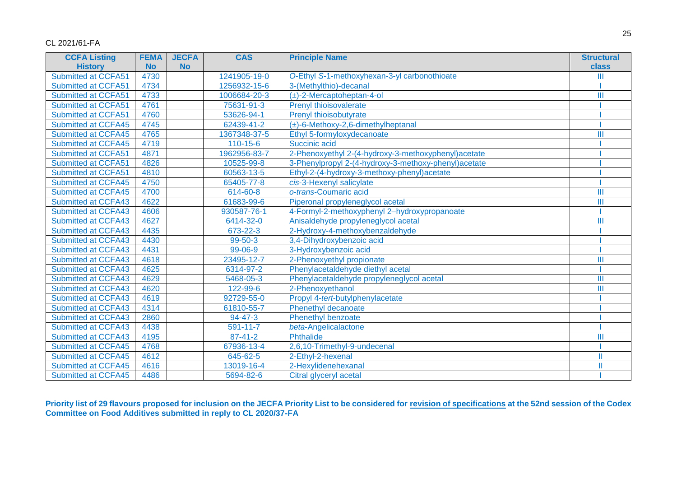| <b>CCFA Listing</b>        | <b>FEMA</b> | <b>JECFA</b> | <b>CAS</b>     | <b>Principle Name</b><br><b>Structural</b>           |                |
|----------------------------|-------------|--------------|----------------|------------------------------------------------------|----------------|
| <b>History</b>             | <b>No</b>   | <b>No</b>    |                |                                                      | class          |
| <b>Submitted at CCFA51</b> | 4730        |              | 1241905-19-0   | O-Ethyl S-1-methoxyhexan-3-yl carbonothioate         | Ш              |
| Submitted at CCFA51        | 4734        |              | 1256932-15-6   | 3-(Methylthio)-decanal                               |                |
| <b>Submitted at CCFA51</b> | 4733        |              | 1006684-20-3   | $(\pm)$ -2-Mercaptoheptan-4-ol                       | Ш              |
| <b>Submitted at CCFA51</b> | 4761        |              | 75631-91-3     | Prenyl thioisovalerate                               |                |
| Submitted at CCFA51        | 4760        |              | 53626-94-1     | Prenyl thioisobutyrate                               |                |
| <b>Submitted at CCFA45</b> | 4745        |              | 62439-41-2     | $(\pm)$ -6-Methoxy-2,6-dimethylheptanal              |                |
| <b>Submitted at CCFA45</b> | 4765        |              | 1367348-37-5   | Ethyl 5-formyloxydecanoate                           | Ш              |
| <b>Submitted at CCFA45</b> | 4719        |              | $110 - 15 - 6$ | Succinic acid                                        |                |
| <b>Submitted at CCFA51</b> | 4871        |              | 1962956-83-7   | 2-Phenoxyethyl 2-(4-hydroxy-3-methoxyphenyl)acetate  |                |
| <b>Submitted at CCFA51</b> | 4826        |              | 10525-99-8     | 3-Phenylpropyl 2-(4-hydroxy-3-methoxy-phenyl)acetate |                |
| Submitted at CCFA51        | 4810        |              | 60563-13-5     | Ethyl-2-(4-hydroxy-3-methoxy-phenyl)acetate          |                |
| <b>Submitted at CCFA45</b> | 4750        |              | 65405-77-8     | cis-3-Hexenyl salicylate                             |                |
| <b>Submitted at CCFA45</b> | 4700        |              | 614-60-8       | o-trans-Coumaric acid                                | Ш              |
| <b>Submitted at CCFA43</b> | 4622        |              | 61683-99-6     | Piperonal propyleneglycol acetal                     | $\mathbf{III}$ |
| <b>Submitted at CCFA43</b> | 4606        |              | 930587-76-1    | 4-Formyl-2-methoxyphenyl 2-hydroxypropanoate         |                |
| <b>Submitted at CCFA43</b> | 4627        |              | 6414-32-0      | Anisaldehyde propyleneglycol acetal                  | $\mathbf{III}$ |
| <b>Submitted at CCFA43</b> | 4435        |              | 673-22-3       | 2-Hydroxy-4-methoxybenzaldehyde                      |                |
| <b>Submitted at CCFA43</b> | 4430        |              | 99-50-3        | 3,4-Dihydroxybenzoic acid                            |                |
| <b>Submitted at CCFA43</b> | 4431        |              | 99-06-9        | 3-Hydroxybenzoic acid                                |                |
| <b>Submitted at CCFA43</b> | 4618        |              | 23495-12-7     | 2-Phenoxyethyl propionate                            | Ш              |
| Submitted at CCFA43        | 4625        |              | 6314-97-2      | Phenylacetaldehyde diethyl acetal                    |                |
| <b>Submitted at CCFA43</b> | 4629        |              | 5468-05-3      | Phenylacetaldehyde propyleneglycol acetal            | $\mathbf{III}$ |
| <b>Submitted at CCFA43</b> | 4620        |              | 122-99-6       | 2-Phenoxyethanol                                     | Ш              |
| <b>Submitted at CCFA43</b> | 4619        |              | 92729-55-0     | Propyl 4-tert-butylphenylacetate                     |                |
| <b>Submitted at CCFA43</b> | 4314        |              | 61810-55-7     | Phenethyl decanoate                                  |                |
| <b>Submitted at CCFA43</b> | 2860        |              | $94 - 47 - 3$  | <b>Phenethyl benzoate</b>                            |                |
| Submitted at CCFA43        | 4438        |              | $591 - 11 - 7$ | beta-Angelicalactone                                 |                |
| <b>Submitted at CCFA43</b> | 4195        |              | $87 - 41 - 2$  | <b>Phthalide</b>                                     | Ш              |
| <b>Submitted at CCFA45</b> | 4768        |              | 67936-13-4     | 2,6,10-Trimethyl-9-undecenal                         |                |
| <b>Submitted at CCFA45</b> | 4612        |              | 645-62-5       | 2-Ethyl-2-hexenal                                    | Ш              |
| <b>Submitted at CCFA45</b> | 4616        |              | 13019-16-4     | 2-Hexylidenehexanal                                  | Ш              |
| <b>Submitted at CCFA45</b> | 4486        |              | 5694-82-6      | Citral glyceryl acetal                               |                |

**Priority list of 29 flavours proposed for inclusion on the JECFA Priority List to be considered for revision of specifications at the 52nd session of the Codex Committee on Food Additives submitted in reply to CL 2020/37-FA**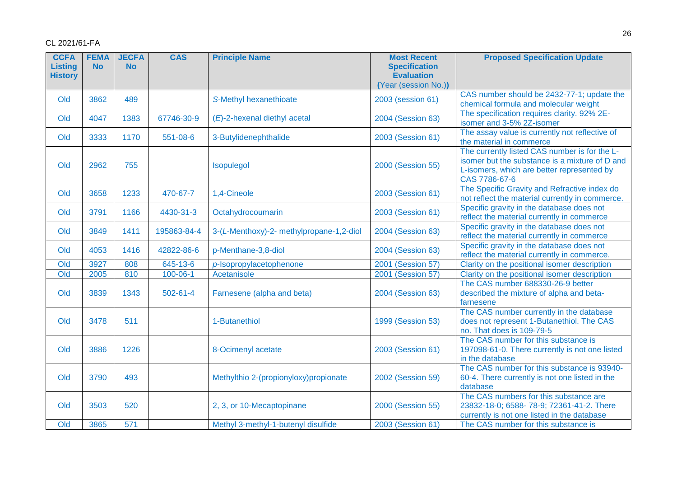| <b>CCFA</b><br><b>Listing</b><br><b>History</b> | <b>FEMA</b><br><b>No</b> | <b>JECFA</b><br><b>No</b> | <b>CAS</b>     | <b>Principle Name</b>                    | <b>Most Recent</b><br><b>Specification</b><br><b>Evaluation</b><br>(Year (session No.)) | <b>Proposed Specification Update</b>                                                                                                                           |
|-------------------------------------------------|--------------------------|---------------------------|----------------|------------------------------------------|-----------------------------------------------------------------------------------------|----------------------------------------------------------------------------------------------------------------------------------------------------------------|
| Old                                             | 3862                     | 489                       |                | S-Methyl hexanethioate                   | 2003 (session 61)                                                                       | CAS number should be 2432-77-1; update the<br>chemical formula and molecular weight                                                                            |
| Old                                             | 4047                     | 1383                      | 67746-30-9     | (E)-2-hexenal diethyl acetal             | 2004 (Session 63)                                                                       | The specification requires clarity. 92% 2E-<br>isomer and 3-5% 2Z-isomer                                                                                       |
| Old                                             | 3333                     | 1170                      | 551-08-6       | 3-Butylidenephthalide                    | 2003 (Session 61)                                                                       | The assay value is currently not reflective of<br>the material in commerce                                                                                     |
| Old                                             | 2962                     | 755                       |                | Isopulegol                               | 2000 (Session 55)                                                                       | The currently listed CAS number is for the L-<br>isomer but the substance is a mixture of D and<br>L-isomers, which are better represented by<br>CAS 7786-67-6 |
| Old                                             | 3658                     | 1233                      | 470-67-7       | 1,4-Cineole                              | 2003 (Session 61)                                                                       | The Specific Gravity and Refractive index do<br>not reflect the material currently in commerce.                                                                |
| Old                                             | 3791                     | 1166                      | 4430-31-3      | Octahydrocoumarin                        | 2003 (Session 61)                                                                       | Specific gravity in the database does not<br>reflect the material currently in commerce                                                                        |
| Old                                             | 3849                     | 1411                      | 195863-84-4    | 3-(L-Menthoxy)-2- methylpropane-1,2-diol | 2004 (Session 63)                                                                       | Specific gravity in the database does not<br>reflect the material currently in commerce                                                                        |
| Old                                             | 4053                     | 1416                      | 42822-86-6     | p-Menthane-3,8-diol                      | 2004 (Session 63)                                                                       | Specific gravity in the database does not<br>reflect the material currently in commerce.                                                                       |
| Old                                             | 3927                     | 808                       | 645-13-6       | p-Isopropylacetophenone                  | 2001 (Session 57)                                                                       | Clarity on the positional isomer description                                                                                                                   |
| $\overline{Old}$                                | 2005                     | 810                       | $100 - 06 - 1$ | Acetanisole                              | 2001 (Session 57)                                                                       | Clarity on the positional isomer description                                                                                                                   |
| Old                                             | 3839                     | 1343                      | $502 - 61 - 4$ | Farnesene (alpha and beta)               | 2004 (Session 63)                                                                       | The CAS number 688330-26-9 better<br>described the mixture of alpha and beta-<br>farnesene                                                                     |
| Old                                             | 3478                     | 511                       |                | 1-Butanethiol                            | 1999 (Session 53)                                                                       | The CAS number currently in the database<br>does not represent 1-Butanethiol. The CAS<br>no. That does is 109-79-5                                             |
| Old                                             | 3886                     | 1226                      |                | 8-Ocimenyl acetate                       | 2003 (Session 61)                                                                       | The CAS number for this substance is<br>197098-61-0. There currently is not one listed<br>in the database                                                      |
| Old                                             | 3790                     | 493                       |                | Methylthio 2-(propionyloxy)propionate    | 2002 (Session 59)                                                                       | The CAS number for this substance is 93940-<br>60-4. There currently is not one listed in the<br>database                                                      |
| Old                                             | 3503                     | 520                       |                | 2, 3, or 10-Mecaptopinane                | 2000 (Session 55)                                                                       | The CAS numbers for this substance are<br>23832-18-0; 6588-78-9; 72361-41-2. There<br>currently is not one listed in the database                              |
| $\overline{Old}$                                | 3865                     | 571                       |                | Methyl 3-methyl-1-butenyl disulfide      | 2003 (Session 61)                                                                       | The CAS number for this substance is                                                                                                                           |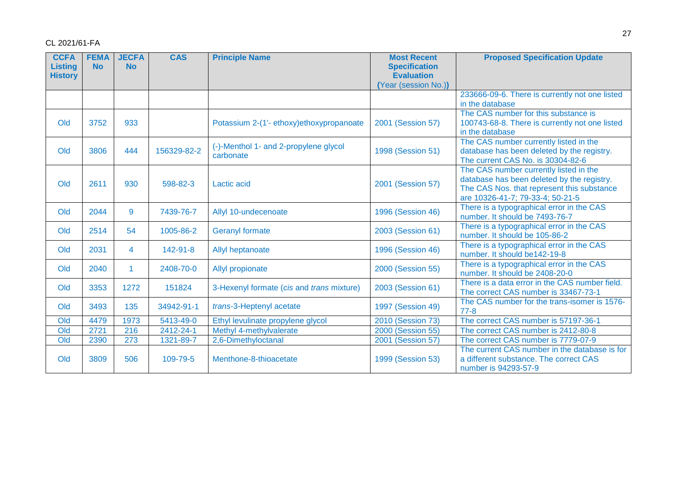| <b>CCFA</b><br><b>Listing</b> | <b>FEMA</b><br><b>No</b> | <b>JECFA</b><br><b>No</b> | <b>CAS</b>  | <b>Principle Name</b>                     | <b>Most Recent</b><br><b>Specification</b> | <b>Proposed Specification Update</b>                                                 |
|-------------------------------|--------------------------|---------------------------|-------------|-------------------------------------------|--------------------------------------------|--------------------------------------------------------------------------------------|
| <b>History</b>                |                          |                           |             |                                           | <b>Evaluation</b>                          |                                                                                      |
|                               |                          |                           |             |                                           | (Year (session No.))                       |                                                                                      |
|                               |                          |                           |             |                                           |                                            | 233666-09-6. There is currently not one listed                                       |
|                               |                          |                           |             |                                           |                                            | in the database                                                                      |
|                               |                          |                           |             |                                           |                                            | The CAS number for this substance is                                                 |
| Old                           | 3752                     | 933                       |             | Potassium 2-(1'- ethoxy)ethoxypropanoate  | 2001 (Session 57)                          | 100743-68-8. There is currently not one listed                                       |
|                               |                          |                           |             |                                           |                                            | in the database                                                                      |
| Old                           | 3806                     | 444                       | 156329-82-2 | (-)-Menthol 1- and 2-propylene glycol     | 1998 (Session 51)                          | The CAS number currently listed in the<br>database has been deleted by the registry. |
|                               |                          |                           |             | carbonate                                 |                                            | The current CAS No. is 30304-82-6                                                    |
|                               |                          |                           |             |                                           |                                            | The CAS number currently listed in the                                               |
|                               |                          |                           |             |                                           |                                            | database has been deleted by the registry.                                           |
| Old                           | 2611                     | 930                       | 598-82-3    | <b>Lactic acid</b>                        | 2001 (Session 57)                          | The CAS Nos. that represent this substance                                           |
|                               |                          |                           |             |                                           |                                            | are 10326-41-7; 79-33-4; 50-21-5                                                     |
| Old                           | 2044                     | 9                         | 7439-76-7   | Allyl 10-undecenoate                      | 1996 (Session 46)                          | There is a typographical error in the CAS                                            |
|                               |                          |                           |             |                                           |                                            | number. It should be 7493-76-7                                                       |
| Old                           | 2514                     | 54                        | 1005-86-2   | <b>Geranyl formate</b>                    | 2003 (Session 61)                          | There is a typographical error in the CAS                                            |
|                               |                          |                           |             |                                           |                                            | number. It should be 105-86-2                                                        |
| Old                           | 2031                     | 4                         | 142-91-8    | Allyl heptanoate                          | 1996 (Session 46)                          | There is a typographical error in the CAS<br>number. It should be142-19-8            |
|                               |                          |                           |             |                                           |                                            | There is a typographical error in the CAS                                            |
| Old                           | 2040                     | $\blacktriangleleft$      | 2408-70-0   | Allyl propionate                          | 2000 (Session 55)                          | number. It should be 2408-20-0                                                       |
|                               |                          |                           |             |                                           |                                            | There is a data error in the CAS number field.                                       |
| Old                           | 3353                     | 1272                      | 151824      | 3-Hexenyl formate (cis and trans mixture) | 2003 (Session 61)                          | The correct CAS number is 33467-73-1                                                 |
| Old                           | 3493                     | 135                       | 34942-91-1  | trans-3-Heptenyl acetate                  | 1997 (Session 49)                          | The CAS number for the trans-isomer is 1576-                                         |
|                               |                          |                           |             |                                           |                                            | $77 - 8$                                                                             |
| Old                           | 4479                     | 1973                      | 5413-49-0   | Ethyl levulinate propylene glycol         | 2010 (Session 73)                          | The correct CAS number is 57197-36-1                                                 |
| Old                           | 2721                     | 216                       | 2412-24-1   | Methyl 4-methylvalerate                   | 2000 (Session 55)                          | The correct CAS number is 2412-80-8                                                  |
| Old                           | 2390                     | 273                       | 1321-89-7   | 2,6-Dimethyloctanal                       | 2001 (Session 57)                          | The correct CAS number is 7779-07-9                                                  |
|                               |                          |                           |             |                                           |                                            | The current CAS number in the database is for                                        |
| Old                           | 3809                     | 506                       | 109-79-5    | Menthone-8-thioacetate                    | 1999 (Session 53)                          | a different substance. The correct CAS                                               |
|                               |                          |                           |             |                                           |                                            | number is 94293-57-9                                                                 |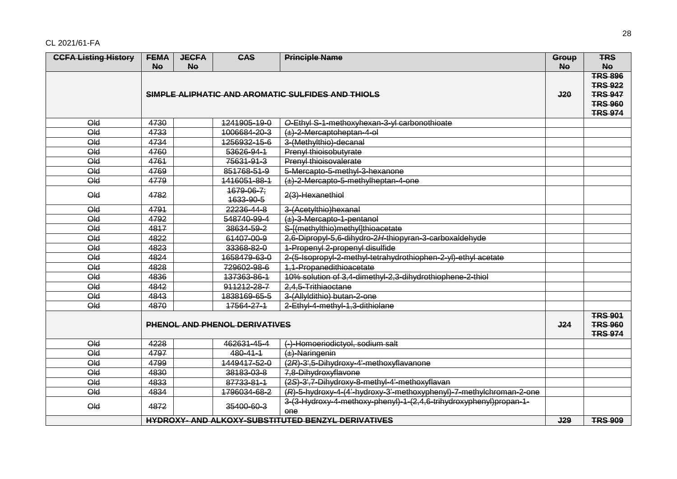| <b>CCFA Listing History</b>                       | <b>FEMA</b> | <b>JECFA</b> | <b>CAS</b>                     | <b>Principle Name</b>                                                            | Group                                              | <b>TRS</b>                       |
|---------------------------------------------------|-------------|--------------|--------------------------------|----------------------------------------------------------------------------------|----------------------------------------------------|----------------------------------|
|                                                   | <b>No</b>   | <b>No</b>    |                                |                                                                                  | <b>No</b>                                          | <b>No</b>                        |
| SIMPLE ALIPHATIC AND AROMATIC SULFIDES AND THIOLS |             |              |                                | J20                                                                              | <b>TRS 896</b><br><b>TRS 922</b><br><b>TRS 947</b> |                                  |
|                                                   |             |              |                                |                                                                                  |                                                    | <b>TRS 960</b><br><b>TRS 974</b> |
| $Q_{\text{ld}}$                                   | 4730        |              | 1241905-19-0                   | O-Ethyl S-1-methoxyhexan-3-yl carbonothioate                                     |                                                    |                                  |
| $Q_{\text{ld}}$                                   | 4733        |              | 1006684-20-3                   | $(\pm)$ -2-Mercaptoheptan-4-ol                                                   |                                                    |                                  |
| Qld                                               | 4734        |              | 1256932-15-6                   | 3-(Methylthio)-decanal                                                           |                                                    |                                  |
| Qld                                               | 4760        |              | 53626-94-1                     | Prenyl thioisobutyrate                                                           |                                                    |                                  |
| Qld                                               | 4761        |              | 75631-91-3                     | Prenyl thioisovalerate                                                           |                                                    |                                  |
| Qld                                               | 4769        |              | 851768-51-9                    | 5-Mercapto-5-methyl-3-hexanone                                                   |                                                    |                                  |
| Qld                                               | 4779        |              | 1416051-88-1                   | (±)-2-Mercapto-5-methylheptan-4-one                                              |                                                    |                                  |
| Qld                                               | 4782        |              | $1679 - 06 - 7$ ;<br>1633-90-5 | 2(3)-Hexanethiol                                                                 |                                                    |                                  |
| Qld                                               | 4791        |              | 22236-44-8                     | 3-(Acetylthio)hexanal                                                            |                                                    |                                  |
| Qld                                               | 4792        |              | 548740-99-4                    | $(\pm)$ -3-Mercapto-1-pentanol                                                   |                                                    |                                  |
| Qld                                               | 4817        |              | 38634-59-2                     | S-I(methylthio)methyl]thioacetate                                                |                                                    |                                  |
| Qld                                               | 4822        |              | 61407-00-9                     | 2,6-Dipropyl-5,6-dihydro-2H-thiopyran-3-carboxaldehyde                           |                                                    |                                  |
| Qld                                               | 4823        |              | 33368-82-0                     | 1-Propenyl 2-propenyl disulfide                                                  |                                                    |                                  |
| $Q_{\text{ld}}$                                   | 4824        |              | 1658479-63-0                   | 2-(5-Isopropyl-2-methyl-tetrahydrothiophen-2-yl)-ethyl acetate                   |                                                    |                                  |
| Qld                                               | 4828        |              | 729602-98-6                    | 1,1-Propanedithioacetate                                                         |                                                    |                                  |
| Qld                                               | 4836        |              | 137363-86-1                    | 10% solution of 3,4-dimethyl-2,3-dihydrothiophene-2-thiol                        |                                                    |                                  |
| Qld                                               | 4842        |              | 911212-28-7                    | 2.4.5-Trithiaoctane                                                              |                                                    |                                  |
| Qld                                               | 4843        |              | 1838169-65-5                   | 3-(Allyldithio) butan-2-one                                                      |                                                    |                                  |
| Qld                                               | 4870        |              | 17564-27-1                     | 2-Ethyl-4-methyl-1,3-dithiolane                                                  |                                                    |                                  |
| PHENOL AND PHENOL DERIVATIVES                     |             |              |                                | J24                                                                              | <b>TRS 901</b><br><b>TRS 960</b><br><b>TRS 974</b> |                                  |
| Qld                                               | 4228        |              | 462631-45-4                    | (-)-Homoeriodictyol, sodium salt                                                 |                                                    |                                  |
| $Q_{\text{ld}}$                                   | 4797        |              | 480-41-1                       | $(\pm)$ -Naringenin                                                              |                                                    |                                  |
| Qld                                               | 4799        |              | 1449417-52-0                   | (2R)-3',5-Dihydroxy-4'-methoxyflavanone                                          |                                                    |                                  |
| Qld                                               | 4830        |              | 38183-03-8                     | 7,8-Dihydroxyflavone                                                             |                                                    |                                  |
| Qld                                               | 4833        |              | 87733-81-1                     | (2S)-3',7-Dihydroxy-8-methyl-4'-methoxyflavan                                    |                                                    |                                  |
| Qld                                               | 4834        |              | 1796034-68-2                   | (R)-5-hydroxy-4-(4'-hydroxy-3'-methoxyphenyl)-7-methylchroman-2-one              |                                                    |                                  |
| $\Theta$ ld                                       | 4872        |              | 35400-60-3                     | 3-(3-Hydroxy-4-methoxy-phenyl)-1-(2,4,6-trihydroxyphenyl)propan-1-<br><b>one</b> |                                                    |                                  |
|                                                   |             |              |                                | <b>HYDROXY- AND ALKOXY-SUBSTITUTED BENZYL DERIVATIVES</b>                        | J29                                                | <b>TRS 909</b>                   |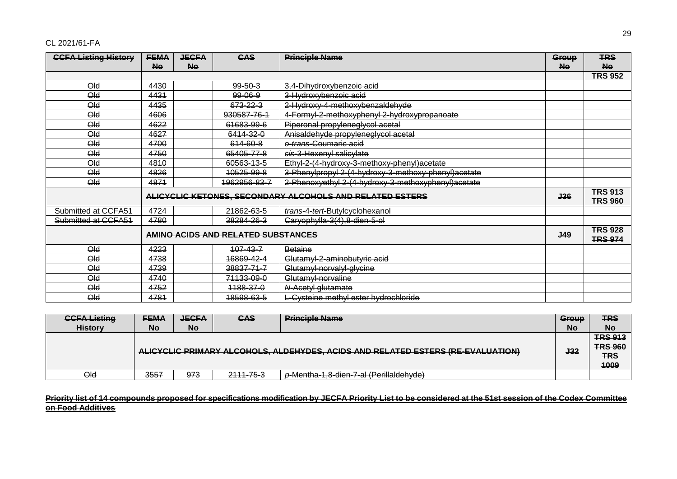| <b>CCFA Listing History</b> | <b>FEMA</b> | <b>JECFA</b> | <b>CAS</b>                         | <b>Principle Name</b>                                    | Group      | <b>TRS</b>                       |
|-----------------------------|-------------|--------------|------------------------------------|----------------------------------------------------------|------------|----------------------------------|
|                             | No          | <b>No</b>    |                                    |                                                          | <b>No</b>  | <b>No</b>                        |
|                             |             |              |                                    |                                                          |            | <b>TRS 952</b>                   |
| $Q_{\rm dd}$                | 4430        |              | $99 - 50 - 3$                      | 3,4-Dihydroxybenzoic acid                                |            |                                  |
| Qld                         | 4431        |              | $99 - 06 - 9$                      | 3-Hydroxybenzoic acid                                    |            |                                  |
| Qld                         | 4435        |              | 673-22-3                           | 2-Hydroxy-4-methoxybenzaldehyde                          |            |                                  |
| Qld                         | 4606        |              | 930587-76-1                        | 4-Formyl-2-methoxyphenyl 2-hydroxypropanoate             |            |                                  |
| Qld                         | 4622        |              | 61683-99-6                         | Piperonal propyleneglycol acetal                         |            |                                  |
| Qld                         | 4627        |              | 6414-32-0                          | Anisaldehyde propyleneglycol acetal                      |            |                                  |
| Qld                         | 4700        |              | 614-60-8                           | o-trans-Coumaric acid                                    |            |                                  |
| Qld                         | 4750        |              | 65405-77-8                         | cis-3-Hexenyl salicylate                                 |            |                                  |
| Qld                         | 4810        |              | 60563-13-5                         | Ethyl-2-(4-hydroxy-3-methoxy-phenyl)acetate              |            |                                  |
| Qld                         | 4826        |              | 10525-99-8                         | 3-Phenylpropyl 2-(4-hydroxy-3-methoxy-phenyl)acetate     |            |                                  |
| Qld                         | 4871        |              | 1962956-83-7                       | 2-Phenoxyethyl 2-(4-hydroxy-3-methoxyphenyl)acetate      |            |                                  |
|                             |             |              |                                    | ALICYCLIC KETONES, SECONDARY ALCOHOLS AND RELATED ESTERS | J36        | <b>TRS 913</b><br><b>TRS 960</b> |
| Submitted at CCFA51         | 4724        |              | 21862-63-5                         | trans-4-tert-Butylcyclohexanol                           |            |                                  |
| Submitted at CCFA51         | 4780        |              | 38284-26-3                         | Caryophylla-3(4), 8-dien-5-ol                            |            |                                  |
|                             |             |              | AMINO ACIDS AND RELATED SUBSTANCES |                                                          | <b>J49</b> | <b>TRS 928</b><br><b>TRS 974</b> |
| Qld                         | 4223        |              | $107 - 43 - 7$                     | Betaine                                                  |            |                                  |
| Qld                         | 4738        |              | 16869-42-4                         | Glutamyl-2-aminobutyric acid                             |            |                                  |
| Qld                         | 4739        |              | 38837-71-7                         | Glutamyl-norvalyl-glycine                                |            |                                  |
| Qld                         | 4740        |              | 71133-09-0                         | Glutamyl-norvaline                                       |            |                                  |
| Qld                         | 4752        |              | 1188-37-0                          | N-Acetyl glutamate                                       |            |                                  |
| Qld                         | 4781        |              | <del>18598-63-5</del>              | L-Cysteine methyl ester hydrochloride                    |            |                                  |

| <b>CCFA Listing</b> | <b>FEMA</b>                                                                     | <b>JECFA</b> | <b>CAS</b> | <b>Principle Name</b>                   | Group      | <b>TRS</b>                                             |
|---------------------|---------------------------------------------------------------------------------|--------------|------------|-----------------------------------------|------------|--------------------------------------------------------|
| <b>History</b>      | <b>Ne</b>                                                                       | <b>Ne</b>    |            |                                         | <b>No</b>  | <b>No</b>                                              |
|                     | ALICYCLIC PRIMARY ALCOHOLS, ALDEHYDES, ACIDS AND RELATED ESTERS (RE-EVALUATION) |              |            |                                         | <b>J32</b> | <b>TRS 913</b><br><b>TRS 960</b><br><b>TRS</b><br>1009 |
| Qld                 | 3557                                                                            | 973          | 2111-75-3  | p-Mentha-1,8-dien-7-al (Perillaldehyde) |            |                                                        |

Priority list of 14 compounds proposed for specifications modification by JECFA Priority List to be considered at the 51st session of the Codex Committee **on Food Additives**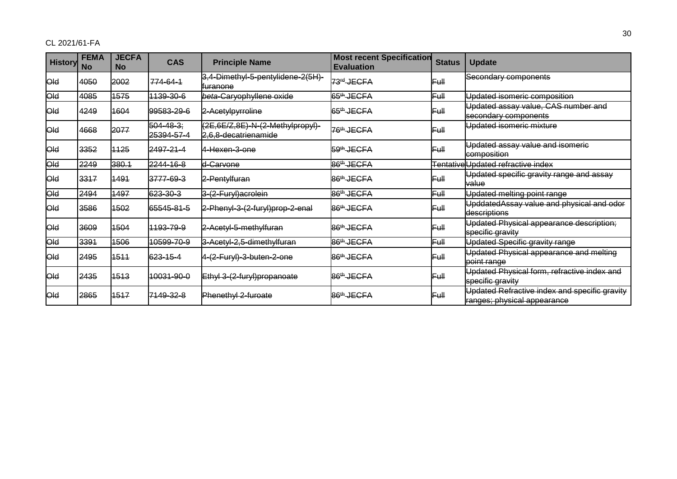| <b>History</b> | <b>FEMA</b><br><b>No</b> | <b>JECFA</b><br><b>No</b> | <b>CAS</b>                    | <b>Principle Name</b>                                    | <b>Most recent Specification</b><br><b>Evaluation</b> | <b>Status</b>    | <b>Update</b>                                                                |
|----------------|--------------------------|---------------------------|-------------------------------|----------------------------------------------------------|-------------------------------------------------------|------------------|------------------------------------------------------------------------------|
| <b>Old</b>     | 4050                     | 2002                      | 774-64-1                      | 3,4-Dimethyl-5-pentylidene-2(5H)-<br><del>furanone</del> | 73 <sup>rd</sup> JECFA                                | Full             | Secondary components                                                         |
| <b>Old</b>     | 4085                     | 1575                      | 1139-30-6                     | beta-Caryophyllene oxide                                 | 65 <sup>th</sup> JECFA                                | lFull            | Updated isomeric composition                                                 |
| <b>Old</b>     | 4249                     | 1604                      | 99583-29-6                    | 2-Acetylpyrroline                                        | 65 <sup>th</sup> JECFA                                | lFull            | Updated assay value, CAS number and<br>secondary components                  |
| <b>Old</b>     | 4668                     | 2077                      | $504 - 48 - 3;$<br>25394-57-4 | (2E,6E/Z,8E)-N-(2-Methylpropyl)-<br>2,6,8-decatrienamide | 76 <sup>th</sup> JECFA                                | lFull            | Updated isomeric mixture                                                     |
| <b>Old</b>     | 3352                     | 1125                      | 2497-21-4                     | 4-Hexen-3-one                                            | 59 <sup>th</sup> JECFA                                | lFull            | Updated assay value and isomeric<br>composition                              |
| <b>Old</b>     | 2249                     | 380.1                     | 2244-16-8                     | d-Carvone                                                | 86 <sup>th</sup> JECFA                                |                  | TentativeUpdated refractive index                                            |
| <b>Old</b>     | 3317                     | 1491                      | 3777-69-3                     | 2-Pentylfuran                                            | 86 <sup>th</sup> JECFA                                | lFull            | Updated specific gravity range and assay<br>value                            |
| <b>Old</b>     | 2494                     | 1497                      | 623-30-3                      | 3-(2-Furyl)acrolein                                      | 86 <sup>th</sup> JECFA                                | Full             | Updated melting point range                                                  |
| <b>Old</b>     | 3586                     | 1502                      | 65545-81-5                    | 2-Phenyl-3-(2-furyl)prop-2-enal                          | 86 <sup>th</sup> JECFA                                | lFull            | UpddatedAssay value and physical and odor<br>descriptions                    |
| <b>Old</b>     | 3609                     | 1504                      | 1193-79-9                     | 2-Acetyl-5-methylfuran                                   | 86 <sup>th</sup> JECFA                                | lFull            | Updated Physical appearance description;<br>specific gravity                 |
| <b>Old</b>     | 3391                     | 1506                      | 10599-70-9                    | 3-Acetyl-2,5-dimethylfuran                               | 86 <sup>th</sup> JECFA                                | ⊫ա⊪              | Updated Specific gravity range                                               |
| <b>Old</b>     | 2495                     | 1511                      | 623-15-4                      | 4-(2-Furyl)-3-buten-2-one                                | 86 <sup>th</sup> JECFA                                | F <del>ull</del> | Updated Physical appearance and melting<br>point range                       |
| <b>Old</b>     | 2435                     | 1513                      | 10031-90-0                    | Ethyl 3-(2-furyl)propanoate                              | 86 <sup>th</sup> JECFA                                | lFull            | Updated Physical form, refractive index and<br>specific gravity              |
| <b>Old</b>     | 2865                     | 1517                      | 7149-32-8                     | Phenethyl 2-furoate                                      | 86 <sup>th</sup> JECFA                                | lFull            | Updated Refractive index and specific gravity<br>ranges; physical appearance |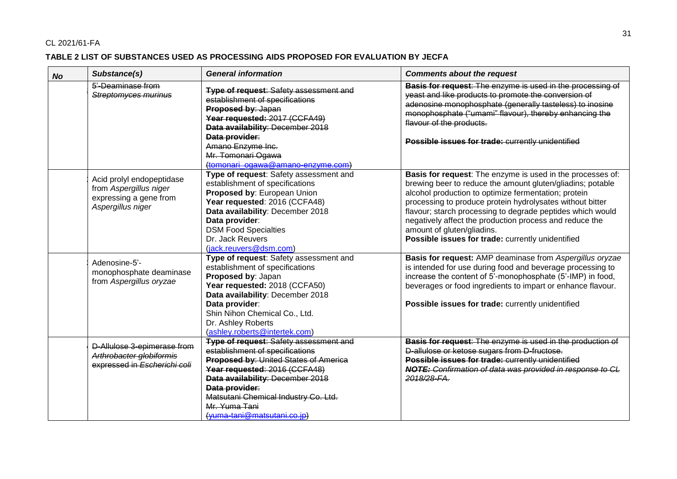### **TABLE 2 LIST OF SUBSTANCES USED AS PROCESSING AIDS PROPOSED FOR EVALUATION BY JECFA**

| <b>No</b> | Substance(s)                                                                                       | <b>General information</b>                                                                                                                                                                                                                                                                                      | <b>Comments about the request</b>                                                                                                                                                                                                                                                                                                                                                                                                                         |
|-----------|----------------------------------------------------------------------------------------------------|-----------------------------------------------------------------------------------------------------------------------------------------------------------------------------------------------------------------------------------------------------------------------------------------------------------------|-----------------------------------------------------------------------------------------------------------------------------------------------------------------------------------------------------------------------------------------------------------------------------------------------------------------------------------------------------------------------------------------------------------------------------------------------------------|
|           | 5'-Deaminase from<br>Streptomyces murinus                                                          | <b>Type of request: Safety assessment and</b><br>establishment of specifications<br>Proposed by: Japan<br>Year requested: 2017 (CCFA49)<br>Data availability: December 2018<br>Data provider:<br>Amano Enzyme Inc.<br>Mr. Tomonari Ogawa<br>(tomonari ogawa@amano-enzyme.com)                                   | Basis for request: The enzyme is used in the processing of<br>yeast and like products to promote the conversion of<br>adenosine monophosphate (generally tasteless) to inosine<br>monophosphate ("umami" flavour), thereby enhancing the<br>flavour of the products.<br>Possible issues for trade: currently unidentified                                                                                                                                 |
|           | Acid prolyl endopeptidase<br>from Aspergillus niger<br>expressing a gene from<br>Aspergillus niger | Type of request: Safety assessment and<br>establishment of specifications<br>Proposed by: European Union<br>Year requested: 2016 (CCFA48)<br>Data availability: December 2018<br>Data provider:<br><b>DSM Food Specialties</b><br>Dr. Jack Reuvers<br>(jack.reuvers@dsm.com)                                    | Basis for request: The enzyme is used in the processes of:<br>brewing beer to reduce the amount gluten/gliadins; potable<br>alcohol production to optimize fermentation; protein<br>processing to produce protein hydrolysates without bitter<br>flavour; starch processing to degrade peptides which would<br>negatively affect the production process and reduce the<br>amount of gluten/gliadins.<br>Possible issues for trade: currently unidentified |
|           | Adenosine-5'-<br>monophosphate deaminase<br>from Aspergillus oryzae                                | Type of request: Safety assessment and<br>establishment of specifications<br>Proposed by: Japan<br>Year requested: 2018 (CCFA50)<br>Data availability: December 2018<br>Data provider:<br>Shin Nihon Chemical Co., Ltd.<br>Dr. Ashley Roberts<br>(ashley.roberts@intertek.com)                                  | Basis for request: AMP deaminase from Aspergillus oryzae<br>is intended for use during food and beverage processing to<br>increase the content of 5'-monophosphate (5'-IMP) in food,<br>beverages or food ingredients to impart or enhance flavour.<br>Possible issues for trade: currently unidentified                                                                                                                                                  |
|           | D-Allulose 3-epimerase from<br>Arthrobacter globiformis<br>expressed in Escherichi coli            | <b>Type of request: Safety assessment and</b><br>establishment of specifications<br><b>Proposed by: United States of America</b><br>Year requested: 2016 (CCFA48)<br>Data availability: December 2018<br>Data provider:<br>Matsutani Chemical Industry Co. Ltd.<br>Mr. Yuma Tani<br>(yuma-tani@matsutani.co.jp) | Basis for request: The enzyme is used in the production of<br>D-allulose or ketose sugars from D-fructose.<br>Possible issues for trade: currently unidentified<br>NOTE: Confirmation of data was provided in response to CL<br>2018/28-FA.                                                                                                                                                                                                               |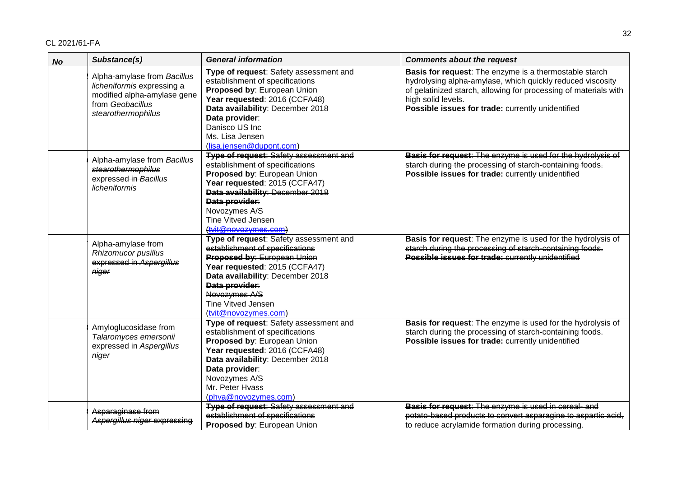| <b>No</b> | Substance(s)                                                                                                                       | <b>General information</b>                                                                                                                                                                                                                                                   | <b>Comments about the request</b>                                                                                                                                                                                                                                   |
|-----------|------------------------------------------------------------------------------------------------------------------------------------|------------------------------------------------------------------------------------------------------------------------------------------------------------------------------------------------------------------------------------------------------------------------------|---------------------------------------------------------------------------------------------------------------------------------------------------------------------------------------------------------------------------------------------------------------------|
|           | Alpha-amylase from Bacillus<br>licheniformis expressing a<br>modified alpha-amylase gene<br>from Geobacillus<br>stearothermophilus | Type of request: Safety assessment and<br>establishment of specifications<br>Proposed by: European Union<br>Year requested: 2016 (CCFA48)<br>Data availability: December 2018<br>Data provider:<br>Danisco US Inc<br>Ms. Lisa Jensen<br>(lisa.jensen@dupont.com)             | Basis for request: The enzyme is a thermostable starch<br>hydrolysing alpha-amylase, which quickly reduced viscosity<br>of gelatinized starch, allowing for processing of materials with<br>high solid levels.<br>Possible issues for trade: currently unidentified |
|           | Alpha-amylase from Bacillus<br>stearothermophilus<br>expressed in Bacillus<br><b>licheniformis</b>                                 | <b>Type of request: Safety assessment and</b><br>establishment of specifications<br>Proposed by: European Union<br>Year requested: 2015 (CCFA47)<br>Data availability: December 2018<br>Data provider:<br>Novozymes A/S<br><b>Tine Vitved Jensen</b><br>(tvit@novozymes.com) | <b>Basis for request:</b> The enzyme is used for the hydrolysis of<br>starch during the processing of starch-containing foods.<br>Possible issues for trade: currently unidentified                                                                                 |
|           | Alpha-amylase from<br>Rhizomucor pusillus<br>expressed in Aspergillus<br>niger                                                     | <b>Type of request: Safety assessment and</b><br>establishment of specifications<br>Proposed by: European Union<br>Year requested: 2015 (CCFA47)<br>Data availability: December 2018<br>Data provider:<br>Novozymes A/S<br><b>Tine Vitved Jensen</b><br>(tyit@novozymes.com) | Basis for request: The enzyme is used for the hydrolysis of<br>starch during the processing of starch-containing foods.<br>Possible issues for trade: currently unidentified                                                                                        |
|           | Amyloglucosidase from<br>Talaromyces emersonii<br>expressed in Aspergillus<br>niger                                                | Type of request: Safety assessment and<br>establishment of specifications<br>Proposed by: European Union<br>Year requested: 2016 (CCFA48)<br>Data availability: December 2018<br>Data provider:<br>Novozymes A/S<br>Mr. Peter Hvass<br>(phva@novozymes.com)                  | Basis for request: The enzyme is used for the hydrolysis of<br>starch during the processing of starch-containing foods.<br>Possible issues for trade: currently unidentified                                                                                        |
|           | Asparaginase from<br>Aspergillus niger expressing                                                                                  | <b>Type of request: Safety assessment and</b><br>establishment of specifications<br>Proposed by: European Union                                                                                                                                                              | Basis for request: The enzyme is used in cereal- and<br>potato-based products to convert asparagine to aspartic acid,<br>to reduce acrylamide formation during processing.                                                                                          |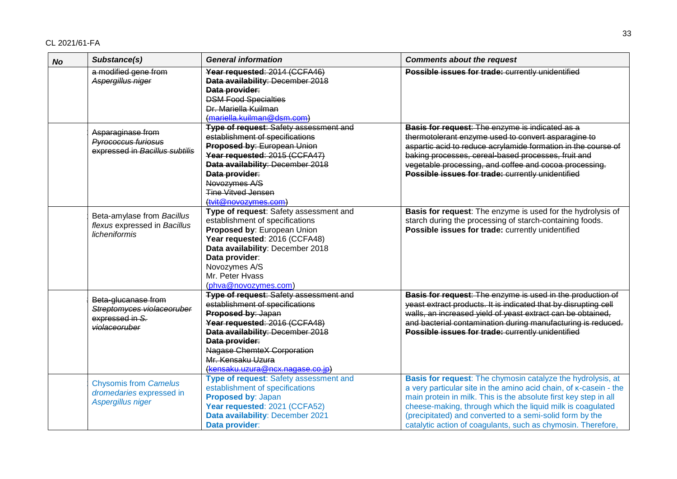| <b>No</b> | Substance(s)                                                                          | <b>General information</b>                                                                                                                                                                                                                                                           | <b>Comments about the request</b>                                                                                                                                                                                                                                                                                                                                                              |
|-----------|---------------------------------------------------------------------------------------|--------------------------------------------------------------------------------------------------------------------------------------------------------------------------------------------------------------------------------------------------------------------------------------|------------------------------------------------------------------------------------------------------------------------------------------------------------------------------------------------------------------------------------------------------------------------------------------------------------------------------------------------------------------------------------------------|
|           | a modified gene from<br>Aspergillus niger                                             | Year requested: 2014 (CCFA46)<br>Data availability: December 2018<br>Data provider:<br><b>DSM Food Specialties</b><br>Dr. Mariella Kuilman<br>(mariella.kuilman@dsm.com)                                                                                                             | Possible issues for trade: currently unidentified                                                                                                                                                                                                                                                                                                                                              |
|           | Asparaginase from<br><b>Pyrococcus furiosus</b><br>expressed in Bacillus subtilis     | <b>Type of request: Safety assessment and</b><br>establishment of specifications<br>Proposed by: European Union<br>Year requested: 2015 (CCFA47)<br>Data availability: December 2018<br>Data provider:<br>Novozymes A/S<br><b>Tine Vitved Jensen</b><br>(tvit@novozymes.com)         | Basis for request: The enzyme is indicated as a<br>thermotolerant enzyme used to convert asparagine to<br>aspartic acid to reduce acrylamide formation in the course of<br>baking processes, cereal-based processes, fruit and<br>vegetable processing, and coffee and cocoa processing.<br>Possible issues for trade: currently unidentified                                                  |
|           | Beta-amylase from Bacillus<br>flexus expressed in Bacillus<br>licheniformis           | Type of request: Safety assessment and<br>establishment of specifications<br>Proposed by: European Union<br>Year requested: 2016 (CCFA48)<br>Data availability: December 2018<br>Data provider:<br>Novozymes A/S<br>Mr. Peter Hyass<br>(phva@novozymes.com)                          | Basis for request: The enzyme is used for the hydrolysis of<br>starch during the processing of starch-containing foods.<br>Possible issues for trade: currently unidentified                                                                                                                                                                                                                   |
|           | Beta-glucanase from<br>Streptomyces violaceoruber<br>expressed in S.<br>violaceoruber | Type of request: Safety assessment and<br>establishment of specifications<br>Proposed by: Japan<br>Year requested: 2016 (CCFA48)<br>Data availability: December 2018<br>Data provider:<br><b>Nagase ChemteX Corporation</b><br>Mr. Kensaku Uzura<br>(kensaku.uzura@ncx.nagase.co.jp) | Basis for request: The enzyme is used in the production of<br>yeast extract products. It is indicated that by disrupting cell<br>walls, an increased yield of yeast extract can be obtained,<br>and bacterial contamination during manufacturing is reduced.<br>Possible issues for trade: currently unidentified                                                                              |
|           | <b>Chysomis from Camelus</b><br>dromedaries expressed in<br>Aspergillus niger         | Type of request: Safety assessment and<br>establishment of specifications<br>Proposed by: Japan<br>Year requested: 2021 (CCFA52)<br>Data availability: December 2021<br>Data provider:                                                                                               | Basis for request: The chymosin catalyze the hydrolysis, at<br>a very particular site in the amino acid chain, of K-casein - the<br>main protein in milk. This is the absolute first key step in all<br>cheese-making, through which the liquid milk is coagulated<br>(precipitated) and converted to a semi-solid form by the<br>catalytic action of coagulants, such as chymosin. Therefore, |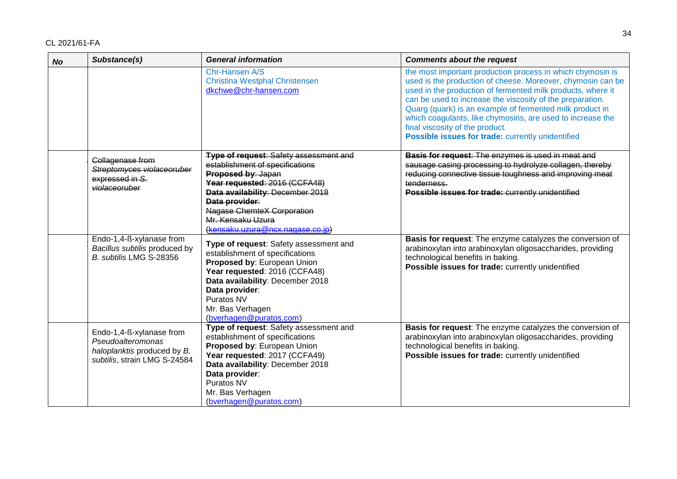| <b>No</b> | Substance(s)                                                                                                 | <b>General information</b>                                                                                                                                                                                                                                                                  | <b>Comments about the request</b>                                                                                                                                                                                                                                                                                                                                                                                                                                       |
|-----------|--------------------------------------------------------------------------------------------------------------|---------------------------------------------------------------------------------------------------------------------------------------------------------------------------------------------------------------------------------------------------------------------------------------------|-------------------------------------------------------------------------------------------------------------------------------------------------------------------------------------------------------------------------------------------------------------------------------------------------------------------------------------------------------------------------------------------------------------------------------------------------------------------------|
|           |                                                                                                              | Chr-Hansen A/S<br><b>Christina Westphal Christensen</b><br>dkchwe@chr-hansen.com                                                                                                                                                                                                            | the most important production process in which chymosin is<br>used is the production of cheese. Moreover, chymosin can be<br>used in the production of fermented milk products, where it<br>can be used to increase the viscosity of the preparation.<br>Quarg (quark) is an example of fermented milk product in<br>which coagulants, like chymosins, are used to increase the<br>final viscosity of the product.<br>Possible issues for trade: currently unidentified |
|           | Collagenase from<br>Streptomyces violaceoruber<br>expressed in S.<br>violaceoruber                           | <b>Type of request: Safety assessment and</b><br>establishment of specifications<br>Proposed by: Japan<br>Year requested: 2016 (CCFA48)<br>Data availability: December 2018<br>Data provider:<br><b>Nagase ChemteX Corporation</b><br>Mr. Kensaku Uzura<br>(kensaku.uzura@ncx.nagase.co.jp) | Basis for request: The enzymes is used in meat and<br>sausage casing processing to hydrolyze collagen, thereby<br>reducing connective tissue toughness and improving meat<br>tenderness.<br>Possible issues for trade: currently unidentified                                                                                                                                                                                                                           |
|           | Endo-1,4-ß-xylanase from<br>Bacillus subtilis produced by<br>B. subtilis LMG S-28356                         | Type of request: Safety assessment and<br>establishment of specifications<br>Proposed by: European Union<br>Year requested: 2016 (CCFA48)<br>Data availability: December 2018<br>Data provider:<br>Puratos NV<br>Mr. Bas Verhagen<br>(bverhagen@puratos.com)                                | Basis for request: The enzyme catalyzes the conversion of<br>arabinoxylan into arabinoxylan oligosaccharides, providing<br>technological benefits in baking.<br>Possible issues for trade: currently unidentified                                                                                                                                                                                                                                                       |
|           | Endo-1,4-ß-xylanase from<br>Pseudoalteromonas<br>haloplanktis produced by B.<br>subtilis, strain LMG S-24584 | Type of request: Safety assessment and<br>establishment of specifications<br>Proposed by: European Union<br>Year requested: 2017 (CCFA49)<br>Data availability: December 2018<br>Data provider:<br>Puratos NV<br>Mr. Bas Verhagen<br>(bverhagen@puratos.com)                                | Basis for request: The enzyme catalyzes the conversion of<br>arabinoxylan into arabinoxylan oligosaccharides, providing<br>technological benefits in baking.<br>Possible issues for trade: currently unidentified                                                                                                                                                                                                                                                       |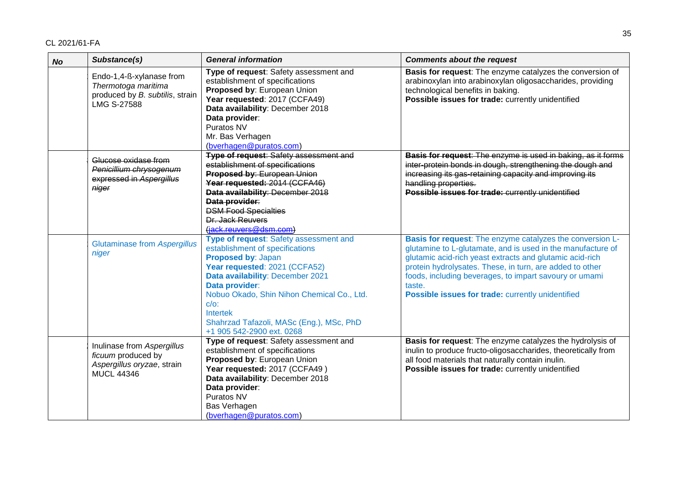| <b>No</b> | Substance(s)                                                                                             | <b>General information</b>                                                                                                                                                                                                                                                                                                                  | <b>Comments about the request</b>                                                                                                                                                                                                                                                                                                                                         |
|-----------|----------------------------------------------------------------------------------------------------------|---------------------------------------------------------------------------------------------------------------------------------------------------------------------------------------------------------------------------------------------------------------------------------------------------------------------------------------------|---------------------------------------------------------------------------------------------------------------------------------------------------------------------------------------------------------------------------------------------------------------------------------------------------------------------------------------------------------------------------|
|           | Endo-1,4-ß-xylanase from<br>Thermotoga maritima<br>produced by B. subtilis, strain<br><b>LMG S-27588</b> | Type of request: Safety assessment and<br>establishment of specifications<br>Proposed by: European Union<br>Year requested: 2017 (CCFA49)<br>Data availability: December 2018<br>Data provider:<br>Puratos NV<br>Mr. Bas Verhagen<br>(bverhagen@puratos.com)                                                                                | Basis for request: The enzyme catalyzes the conversion of<br>arabinoxylan into arabinoxylan oligosaccharides, providing<br>technological benefits in baking.<br>Possible issues for trade: currently unidentified                                                                                                                                                         |
|           | Glucose oxidase from<br>Penicillium chrysogenum<br>expressed in Aspergillus<br>niger                     | <b>Type of request: Safety assessment and</b><br>establishment of specifications<br>Proposed by: European Union<br>Year requested: 2014 (CCFA46)<br>Data availability: December 2018<br>Data provider:<br><b>DSM Food Specialties</b><br>Dr. Jack Reuvers<br>(jack.reuvers@dsm.com)                                                         | Basis for request: The enzyme is used in baking, as it forms<br>inter-protein bonds in dough, strengthening the dough and<br>increasing its gas-retaining capacity and improving its<br>handling properties.<br>Possible issues for trade: currently unidentified                                                                                                         |
|           | <b>Glutaminase from Aspergillus</b><br>niger                                                             | Type of request: Safety assessment and<br>establishment of specifications<br>Proposed by: Japan<br>Year requested: 2021 (CCFA52)<br>Data availability: December 2021<br>Data provider:<br>Nobuo Okado, Shin Nihon Chemical Co., Ltd.<br>$C/O$ :<br><b>Intertek</b><br>Shahrzad Tafazoli, MASc (Eng.), MSc, PhD<br>+1 905 542-2900 ext. 0268 | Basis for request: The enzyme catalyzes the conversion L-<br>glutamine to L-glutamate, and is used in the manufacture of<br>glutamic acid-rich yeast extracts and glutamic acid-rich<br>protein hydrolysates. These, in turn, are added to other<br>foods, including beverages, to impart savoury or umami<br>taste.<br>Possible issues for trade: currently unidentified |
|           | Inulinase from Aspergillus<br>ficuum produced by<br>Aspergillus oryzae, strain<br><b>MUCL 44346</b>      | Type of request: Safety assessment and<br>establishment of specifications<br>Proposed by: European Union<br>Year requested: 2017 (CCFA49)<br>Data availability: December 2018<br>Data provider:<br>Puratos NV<br>Bas Verhagen<br>(bverhagen@puratos.com)                                                                                    | Basis for request: The enzyme catalyzes the hydrolysis of<br>inulin to produce fructo-oligosaccharides, theoretically from<br>all food materials that naturally contain inulin.<br>Possible issues for trade: currently unidentified                                                                                                                                      |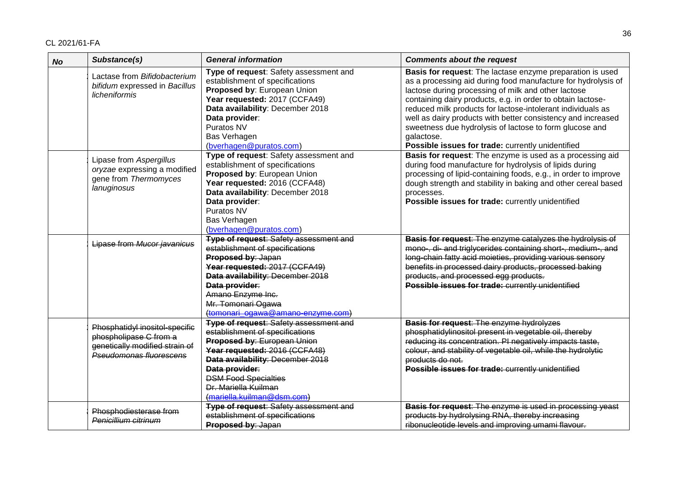| <b>No</b> | Substance(s)                                                                                                                 | <b>General information</b>                                                                                                                                                                                                                                                                  | <b>Comments about the request</b>                                                                                                                                                                                                                                                                                                                                                                                                                                                                             |
|-----------|------------------------------------------------------------------------------------------------------------------------------|---------------------------------------------------------------------------------------------------------------------------------------------------------------------------------------------------------------------------------------------------------------------------------------------|---------------------------------------------------------------------------------------------------------------------------------------------------------------------------------------------------------------------------------------------------------------------------------------------------------------------------------------------------------------------------------------------------------------------------------------------------------------------------------------------------------------|
|           | Lactase from Bifidobacterium<br>bifidum expressed in Bacillus<br>licheniformis                                               | Type of request: Safety assessment and<br>establishment of specifications<br>Proposed by: European Union<br>Year requested: 2017 (CCFA49)<br>Data availability: December 2018<br>Data provider:<br>Puratos NV<br>Bas Verhagen<br>(bverhagen@puratos.com)                                    | Basis for request: The lactase enzyme preparation is used<br>as a processing aid during food manufacture for hydrolysis of<br>lactose during processing of milk and other lactose<br>containing dairy products, e.g. in order to obtain lactose-<br>reduced milk products for lactose-intolerant individuals as<br>well as dairy products with better consistency and increased<br>sweetness due hydrolysis of lactose to form glucose and<br>galactose.<br>Possible issues for trade: currently unidentified |
|           | Lipase from Aspergillus<br>oryzae expressing a modified<br>gene from Thermomyces<br>lanuginosus                              | Type of request: Safety assessment and<br>establishment of specifications<br>Proposed by: European Union<br>Year requested: 2016 (CCFA48)<br>Data availability: December 2018<br>Data provider:<br>Puratos NV<br>Bas Verhagen<br>(bverhagen@puratos.com)                                    | Basis for request: The enzyme is used as a processing aid<br>during food manufacture for hydrolysis of lipids during<br>processing of lipid-containing foods, e.g., in order to improve<br>dough strength and stability in baking and other cereal based<br>processes.<br>Possible issues for trade: currently unidentified                                                                                                                                                                                   |
|           | Lipase from Mucor javanicus                                                                                                  | <b>Type of request: Safety assessment and</b><br>establishment of specifications<br>Proposed by: Japan<br>Year requested: 2017 (CCFA49)<br>Data availability: December 2018<br>Data provider:<br>Amano Enzyme Inc.<br>Mr. Tomonari Ogawa<br>(tomonari ogawa@amano-enzyme.com)               | Basis for request: The enzyme catalyzes the hydrolysis of<br>mono-, di- and triglycerides containing short-, medium-, and<br>long-chain fatty acid moieties, providing various sensory<br>benefits in processed dairy products, processed baking<br>products, and processed egg products.<br>Possible issues for trade: currently unidentified                                                                                                                                                                |
|           | Phosphatidyl inositol-specific<br>phospholipase C from a<br>genetically modified strain of<br><b>Pseudomonas fluorescens</b> | <b>Type of request: Safety assessment and</b><br>establishment of specifications<br>Proposed by: European Union<br>Year requested: 2016 (CCFA48)<br>Data availability: December 2018<br>Data provider:<br><b>DSM Food Specialties</b><br>Dr. Mariella Kuilman<br>(mariella.kuilman@dsm.com) | Basis for request: The enzyme hydrolyzes<br>phosphatidylinositol present in vegetable oil, thereby<br>reducing its concentration. PI negatively impacts taste,<br>colour, and stability of vegetable oil, while the hydrolytic<br>products do not.<br>Possible issues for trade: currently unidentified                                                                                                                                                                                                       |
|           | Phosphodiesterase from<br>Penicillium citrinum                                                                               | <b>Type of request: Safety assessment and</b><br>establishment of specifications<br>Proposed by: Japan                                                                                                                                                                                      | Basis for request: The enzyme is used in processing yeast<br>products by hydrolysing RNA, thereby increasing<br>ribonucleotide levels and improving umami flavour.                                                                                                                                                                                                                                                                                                                                            |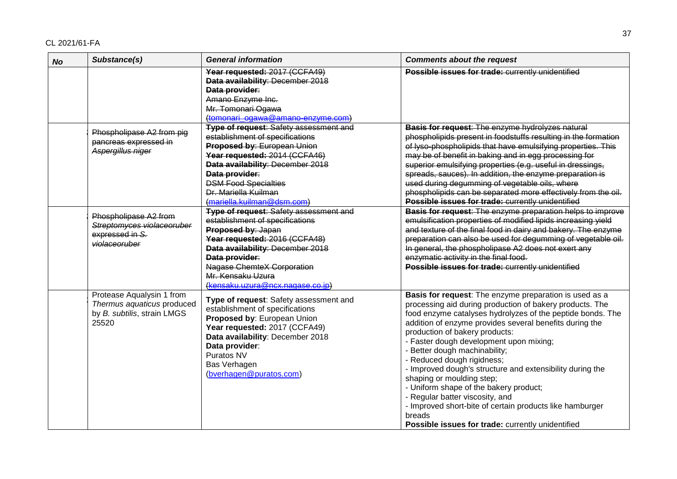| <b>No</b> | Substance(s)                                                                                    | <b>General information</b>                                                                                                                                                                                                                                                                  | <b>Comments about the request</b>                                                                                                                                                                                                                                                                                                                                                                                                                                                                                                                                                                                                                                                         |
|-----------|-------------------------------------------------------------------------------------------------|---------------------------------------------------------------------------------------------------------------------------------------------------------------------------------------------------------------------------------------------------------------------------------------------|-------------------------------------------------------------------------------------------------------------------------------------------------------------------------------------------------------------------------------------------------------------------------------------------------------------------------------------------------------------------------------------------------------------------------------------------------------------------------------------------------------------------------------------------------------------------------------------------------------------------------------------------------------------------------------------------|
|           |                                                                                                 | Year requested: 2017 (CCFA49)<br>Data availability: December 2018<br>Data provider:<br>Amano Enzyme Inc.<br>Mr. Tomonari Ogawa<br>(tomonari ogawa@amano-enzyme.com)                                                                                                                         | Possible issues for trade: currently unidentified                                                                                                                                                                                                                                                                                                                                                                                                                                                                                                                                                                                                                                         |
|           | Phospholipase A2 from pig<br>pancreas expressed in<br>Aspergillus niger                         | <b>Type of request: Safety assessment and</b><br>establishment of specifications<br>Proposed by: European Union<br>Year requested: 2014 (CCFA46)<br>Data availability: December 2018<br>Data provider:<br><b>DSM Food Specialties</b><br>Dr. Mariella Kuilman<br>(mariella.kuilman@dsm.com) | Basis for request: The enzyme hydrolyzes natural<br>phospholipids present in foodstuffs resulting in the formation<br>of lyso-phospholipids that have emulsifying properties. This<br>may be of benefit in baking and in egg processing for<br>superior emulsifying properties (e.g. useful in dressings,<br>spreads, sauces). In addition, the enzyme preparation is<br>used during degumming of vegetable oils, where<br>phospholipids can be separated more effectively from the oil.<br>Possible issues for trade: currently unidentified                                                                                                                                             |
|           | Phospholipase A2 from<br>Streptomyces violaceoruber<br>expressed in S.<br>violaceoruber         | <b>Type of request: Safety assessment and</b><br>establishment of specifications<br>Proposed by: Japan<br>Year requested: 2016 (CCFA48)<br>Data availability: December 2018<br>Data provider:<br><b>Nagase ChemteX Corporation</b><br>Mr. Kensaku Uzura<br>(kensaku.uzura@ncx.nagase.co.jp) | Basis for request: The enzyme preparation helps to improve<br>emulsification properties of modified lipids increasing yield<br>and texture of the final food in dairy and bakery. The enzyme<br>preparation can also be used for degumming of vegetable oil.<br>In general, the phospholipase A2 does not exert any<br>enzymatic activity in the final food.<br>Possible issues for trade: currently unidentified                                                                                                                                                                                                                                                                         |
|           | Protease Aqualysin 1 from<br>Thermus aquaticus produced<br>by B. subtilis, strain LMGS<br>25520 | Type of request: Safety assessment and<br>establishment of specifications<br>Proposed by: European Union<br>Year requested: 2017 (CCFA49)<br>Data availability: December 2018<br>Data provider:<br>Puratos NV<br>Bas Verhagen<br>(bverhagen@puratos.com)                                    | Basis for request: The enzyme preparation is used as a<br>processing aid during production of bakery products. The<br>food enzyme catalyses hydrolyzes of the peptide bonds. The<br>addition of enzyme provides several benefits during the<br>production of bakery products:<br>- Faster dough development upon mixing;<br>- Better dough machinability;<br>- Reduced dough rigidness;<br>- Improved dough's structure and extensibility during the<br>shaping or moulding step;<br>- Uniform shape of the bakery product;<br>- Regular batter viscosity, and<br>- Improved short-bite of certain products like hamburger<br>breads<br>Possible issues for trade: currently unidentified |